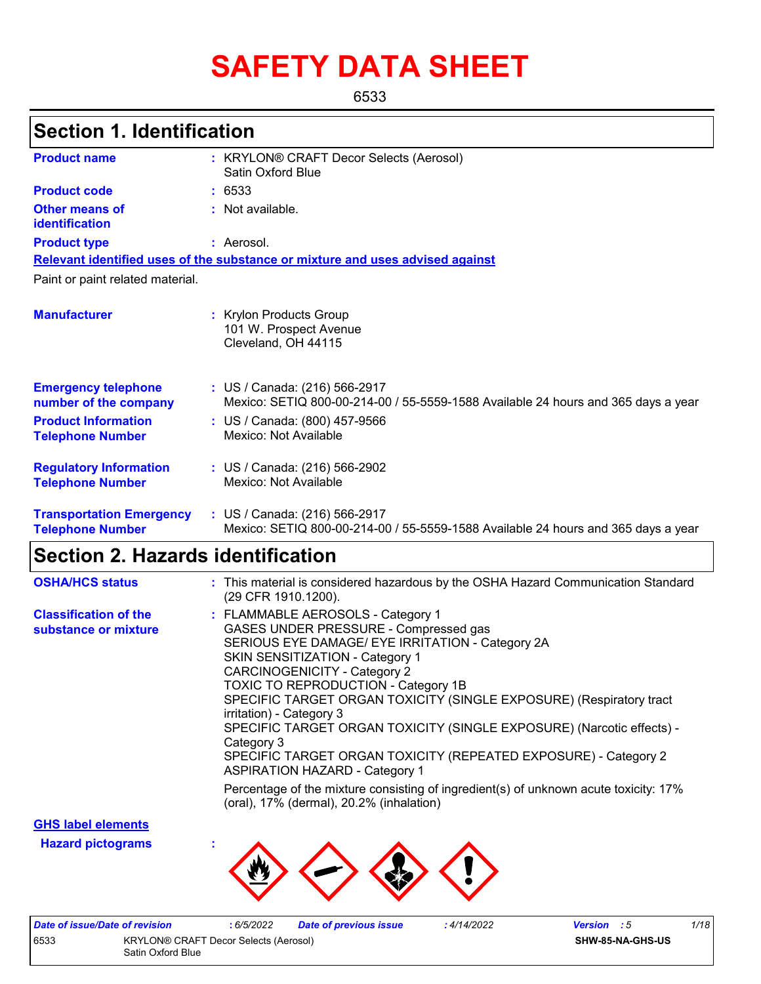# **SAFETY DATA SHEET**

6533

## **Section 1. Identification**

| <b>Product name</b>                                        | : KRYLON® CRAFT Decor Selects (Aerosol)<br><b>Satin Oxford Blue</b>                                                |
|------------------------------------------------------------|--------------------------------------------------------------------------------------------------------------------|
| <b>Product code</b>                                        | : 6533                                                                                                             |
| <b>Other means of</b><br>identification                    | : Not available.                                                                                                   |
| <b>Product type</b>                                        | : Aerosol.                                                                                                         |
|                                                            | Relevant identified uses of the substance or mixture and uses advised against                                      |
| Paint or paint related material.                           |                                                                                                                    |
| <b>Manufacturer</b>                                        | : Krylon Products Group<br>101 W. Prospect Avenue<br>Cleveland, OH 44115                                           |
| <b>Emergency telephone</b><br>number of the company        | : US / Canada: (216) 566-2917<br>Mexico: SETIQ 800-00-214-00 / 55-5559-1588 Available 24 hours and 365 days a year |
| <b>Product Information</b><br><b>Telephone Number</b>      | : US / Canada: (800) 457-9566<br>Mexico: Not Available                                                             |
| <b>Regulatory Information</b><br><b>Telephone Number</b>   | : US / Canada: (216) 566-2902<br>Mexico: Not Available                                                             |
| <b>Transportation Emergency</b><br><b>Telephone Number</b> | : US / Canada: (216) 566-2917<br>Mexico: SETIQ 800-00-214-00 / 55-5559-1588 Available 24 hours and 365 days a year |

## **Section 2. Hazards identification**

| <b>OSHA/HCS status</b>                               | : This material is considered hazardous by the OSHA Hazard Communication Standard<br>(29 CFR 1910.1200).                                                                                                                                                                                                                                                                                                                                                                                                                                                            |
|------------------------------------------------------|---------------------------------------------------------------------------------------------------------------------------------------------------------------------------------------------------------------------------------------------------------------------------------------------------------------------------------------------------------------------------------------------------------------------------------------------------------------------------------------------------------------------------------------------------------------------|
| <b>Classification of the</b><br>substance or mixture | : FLAMMABLE AEROSOLS - Category 1<br>GASES UNDER PRESSURE - Compressed gas<br>SERIOUS EYE DAMAGE/ EYE IRRITATION - Category 2A<br><b>SKIN SENSITIZATION - Category 1</b><br><b>CARCINOGENICITY - Category 2</b><br><b>TOXIC TO REPRODUCTION - Category 1B</b><br>SPECIFIC TARGET ORGAN TOXICITY (SINGLE EXPOSURE) (Respiratory tract<br>irritation) - Category 3<br>SPECIFIC TARGET ORGAN TOXICITY (SINGLE EXPOSURE) (Narcotic effects) -<br>Category 3<br>SPECIFIC TARGET ORGAN TOXICITY (REPEATED EXPOSURE) - Category 2<br><b>ASPIRATION HAZARD - Category 1</b> |
|                                                      | Percentage of the mixture consisting of ingredient(s) of unknown acute toxicity: 17%<br>(oral), 17% (dermal), 20.2% (inhalation)                                                                                                                                                                                                                                                                                                                                                                                                                                    |

**GHS label elements**

**Hazard pictograms :**



| Date of issue/Date of revision |                                              | 6/5/2022 | <b>Date of previous issue</b> | : 4/14/2022 | <b>Version</b> : 5 |  | 1/18 |
|--------------------------------|----------------------------------------------|----------|-------------------------------|-------------|--------------------|--|------|
| 6533                           | <b>KRYLON® CRAFT Decor Selects (Aerosol)</b> |          |                               |             | SHW-85-NA-GHS-US   |  |      |
|                                | Satin Oxford Blue                            |          |                               |             |                    |  |      |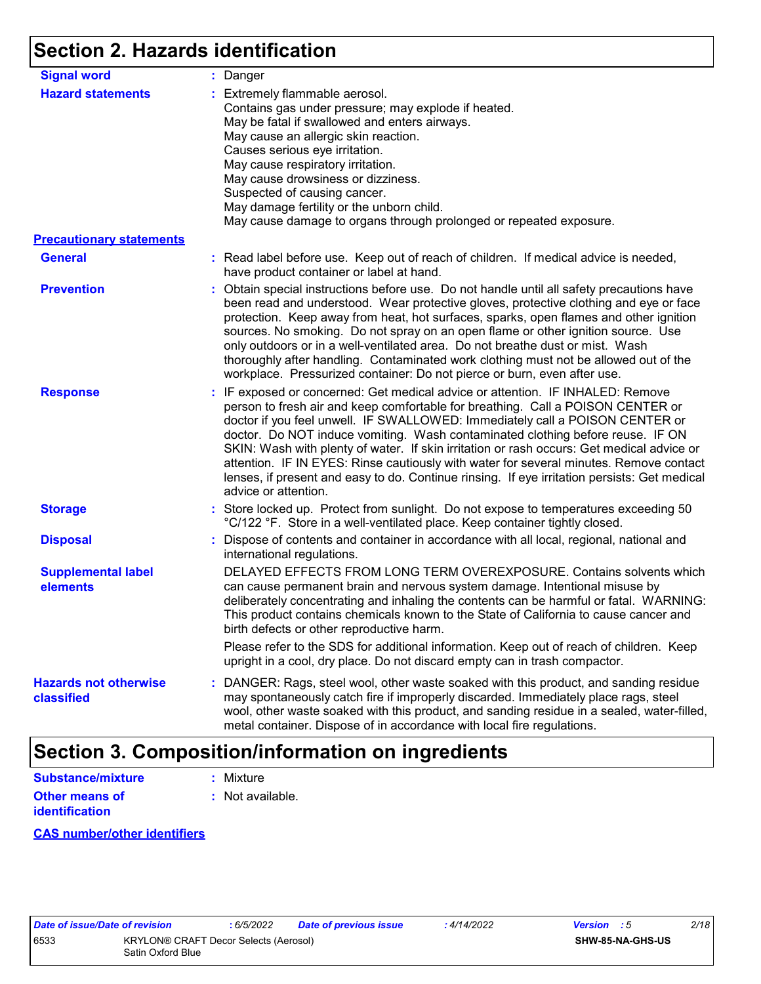## **Section 2. Hazards identification**

| <b>Signal word</b>                         | : Danger                                                                                                                                                                                                                                                                                                                                                                                                                                                                                                                                                                                                                                           |
|--------------------------------------------|----------------------------------------------------------------------------------------------------------------------------------------------------------------------------------------------------------------------------------------------------------------------------------------------------------------------------------------------------------------------------------------------------------------------------------------------------------------------------------------------------------------------------------------------------------------------------------------------------------------------------------------------------|
| <b>Hazard statements</b>                   | : Extremely flammable aerosol.<br>Contains gas under pressure; may explode if heated.<br>May be fatal if swallowed and enters airways.<br>May cause an allergic skin reaction.<br>Causes serious eye irritation.<br>May cause respiratory irritation.<br>May cause drowsiness or dizziness.<br>Suspected of causing cancer.<br>May damage fertility or the unborn child.<br>May cause damage to organs through prolonged or repeated exposure.                                                                                                                                                                                                     |
| <b>Precautionary statements</b>            |                                                                                                                                                                                                                                                                                                                                                                                                                                                                                                                                                                                                                                                    |
| <b>General</b>                             | : Read label before use. Keep out of reach of children. If medical advice is needed,<br>have product container or label at hand.                                                                                                                                                                                                                                                                                                                                                                                                                                                                                                                   |
| <b>Prevention</b>                          | : Obtain special instructions before use. Do not handle until all safety precautions have<br>been read and understood. Wear protective gloves, protective clothing and eye or face<br>protection. Keep away from heat, hot surfaces, sparks, open flames and other ignition<br>sources. No smoking. Do not spray on an open flame or other ignition source. Use<br>only outdoors or in a well-ventilated area. Do not breathe dust or mist. Wash<br>thoroughly after handling. Contaminated work clothing must not be allowed out of the<br>workplace. Pressurized container: Do not pierce or burn, even after use.                               |
| <b>Response</b>                            | : IF exposed or concerned: Get medical advice or attention. IF INHALED: Remove<br>person to fresh air and keep comfortable for breathing. Call a POISON CENTER or<br>doctor if you feel unwell. IF SWALLOWED: Immediately call a POISON CENTER or<br>doctor. Do NOT induce vomiting. Wash contaminated clothing before reuse. IF ON<br>SKIN: Wash with plenty of water. If skin irritation or rash occurs: Get medical advice or<br>attention. IF IN EYES: Rinse cautiously with water for several minutes. Remove contact<br>lenses, if present and easy to do. Continue rinsing. If eye irritation persists: Get medical<br>advice or attention. |
| <b>Storage</b>                             | : Store locked up. Protect from sunlight. Do not expose to temperatures exceeding 50<br>°C/122 °F. Store in a well-ventilated place. Keep container tightly closed.                                                                                                                                                                                                                                                                                                                                                                                                                                                                                |
| <b>Disposal</b>                            | : Dispose of contents and container in accordance with all local, regional, national and<br>international regulations.                                                                                                                                                                                                                                                                                                                                                                                                                                                                                                                             |
| <b>Supplemental label</b><br>elements      | DELAYED EFFECTS FROM LONG TERM OVEREXPOSURE. Contains solvents which<br>can cause permanent brain and nervous system damage. Intentional misuse by<br>deliberately concentrating and inhaling the contents can be harmful or fatal. WARNING:<br>This product contains chemicals known to the State of California to cause cancer and<br>birth defects or other reproductive harm.                                                                                                                                                                                                                                                                  |
|                                            | Please refer to the SDS for additional information. Keep out of reach of children. Keep<br>upright in a cool, dry place. Do not discard empty can in trash compactor.                                                                                                                                                                                                                                                                                                                                                                                                                                                                              |
| <b>Hazards not otherwise</b><br>classified | : DANGER: Rags, steel wool, other waste soaked with this product, and sanding residue<br>may spontaneously catch fire if improperly discarded. Immediately place rags, steel<br>wool, other waste soaked with this product, and sanding residue in a sealed, water-filled,<br>metal container. Dispose of in accordance with local fire regulations.                                                                                                                                                                                                                                                                                               |

## **Section 3. Composition/information on ingredients**

| <b>Substance/mixture</b> | : Mixture        |
|--------------------------|------------------|
| Other means of           | : Not available. |
| <b>identification</b>    |                  |

#### **CAS number/other identifiers**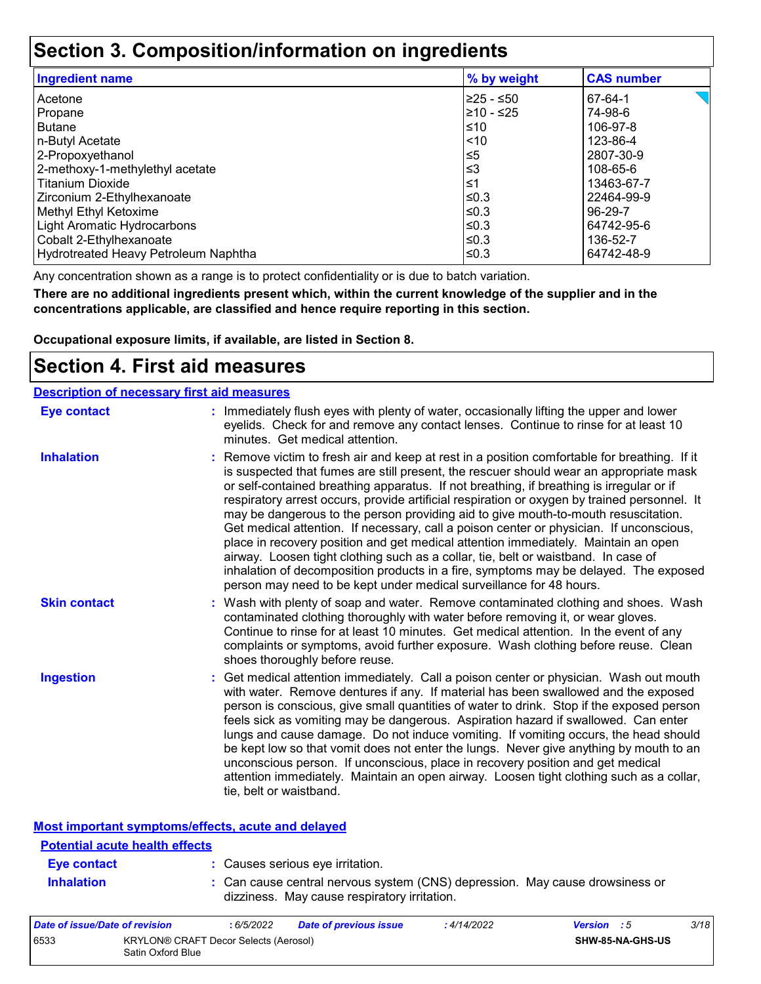## **Section 3. Composition/information on ingredients**

| <b>Ingredient name</b>               | % by weight | <b>CAS number</b> |
|--------------------------------------|-------------|-------------------|
| Acetone                              | l≥25 - ≤50  | 67-64-1           |
| Propane                              | 210 - ≤25   | 74-98-6           |
| l Butane                             | ≤10         | 106-97-8          |
| n-Butyl Acetate                      | < 10        | 123-86-4          |
| 2-Propoxyethanol                     | $\leq 5$    | 2807-30-9         |
| 2-methoxy-1-methylethyl acetate      | ≤3          | 108-65-6          |
| l Titanium Dioxide                   | ≤1          | 13463-67-7        |
| Zirconium 2-Ethylhexanoate           | l≤0.3       | 22464-99-9        |
| Methyl Ethyl Ketoxime                | ≤0.3        | 96-29-7           |
| Light Aromatic Hydrocarbons          | ≤0.3        | 64742-95-6        |
| Cobalt 2-Ethylhexanoate              | ≤0.3        | 136-52-7          |
| Hydrotreated Heavy Petroleum Naphtha | ≤0.3        | 64742-48-9        |

Any concentration shown as a range is to protect confidentiality or is due to batch variation.

**There are no additional ingredients present which, within the current knowledge of the supplier and in the concentrations applicable, are classified and hence require reporting in this section.**

**Occupational exposure limits, if available, are listed in Section 8.**

### **Section 4. First aid measures**

| <b>Description of necessary first aid measures</b> |                                                                                                                                                                                                                                                                                                                                                                                                                                                                                                                                                                                                                                                                                                                                                                                                                                                                                                                |
|----------------------------------------------------|----------------------------------------------------------------------------------------------------------------------------------------------------------------------------------------------------------------------------------------------------------------------------------------------------------------------------------------------------------------------------------------------------------------------------------------------------------------------------------------------------------------------------------------------------------------------------------------------------------------------------------------------------------------------------------------------------------------------------------------------------------------------------------------------------------------------------------------------------------------------------------------------------------------|
| <b>Eye contact</b>                                 | : Immediately flush eyes with plenty of water, occasionally lifting the upper and lower<br>eyelids. Check for and remove any contact lenses. Continue to rinse for at least 10<br>minutes. Get medical attention.                                                                                                                                                                                                                                                                                                                                                                                                                                                                                                                                                                                                                                                                                              |
| <b>Inhalation</b>                                  | : Remove victim to fresh air and keep at rest in a position comfortable for breathing. If it<br>is suspected that fumes are still present, the rescuer should wear an appropriate mask<br>or self-contained breathing apparatus. If not breathing, if breathing is irregular or if<br>respiratory arrest occurs, provide artificial respiration or oxygen by trained personnel. It<br>may be dangerous to the person providing aid to give mouth-to-mouth resuscitation.<br>Get medical attention. If necessary, call a poison center or physician. If unconscious,<br>place in recovery position and get medical attention immediately. Maintain an open<br>airway. Loosen tight clothing such as a collar, tie, belt or waistband. In case of<br>inhalation of decomposition products in a fire, symptoms may be delayed. The exposed<br>person may need to be kept under medical surveillance for 48 hours. |
| <b>Skin contact</b>                                | : Wash with plenty of soap and water. Remove contaminated clothing and shoes. Wash<br>contaminated clothing thoroughly with water before removing it, or wear gloves.<br>Continue to rinse for at least 10 minutes. Get medical attention. In the event of any<br>complaints or symptoms, avoid further exposure. Wash clothing before reuse. Clean<br>shoes thoroughly before reuse.                                                                                                                                                                                                                                                                                                                                                                                                                                                                                                                          |
| <b>Ingestion</b>                                   | : Get medical attention immediately. Call a poison center or physician. Wash out mouth<br>with water. Remove dentures if any. If material has been swallowed and the exposed<br>person is conscious, give small quantities of water to drink. Stop if the exposed person<br>feels sick as vomiting may be dangerous. Aspiration hazard if swallowed. Can enter<br>lungs and cause damage. Do not induce vomiting. If vomiting occurs, the head should<br>be kept low so that vomit does not enter the lungs. Never give anything by mouth to an<br>unconscious person. If unconscious, place in recovery position and get medical<br>attention immediately. Maintain an open airway. Loosen tight clothing such as a collar,<br>tie, belt or waistband.                                                                                                                                                        |

| <b>Potential acute health effects</b> |                                                                                                                              |
|---------------------------------------|------------------------------------------------------------------------------------------------------------------------------|
| Eye contact                           | : Causes serious eye irritation.                                                                                             |
| <b>Inhalation</b>                     | : Can cause central nervous system (CNS) depression. May cause drowsiness or<br>dizziness. May cause respiratory irritation. |

| Date of issue/Date of revision |                                                            | 6/5/2022 | <b>Date of previous issue</b> | : 4/14/2022 | <b>Version</b> : 5 |                  | 3/18 |
|--------------------------------|------------------------------------------------------------|----------|-------------------------------|-------------|--------------------|------------------|------|
| 6533                           | KRYLON® CRAFT Decor Selects (Aerosol)<br>Satin Oxford Blue |          |                               |             |                    | SHW-85-NA-GHS-US |      |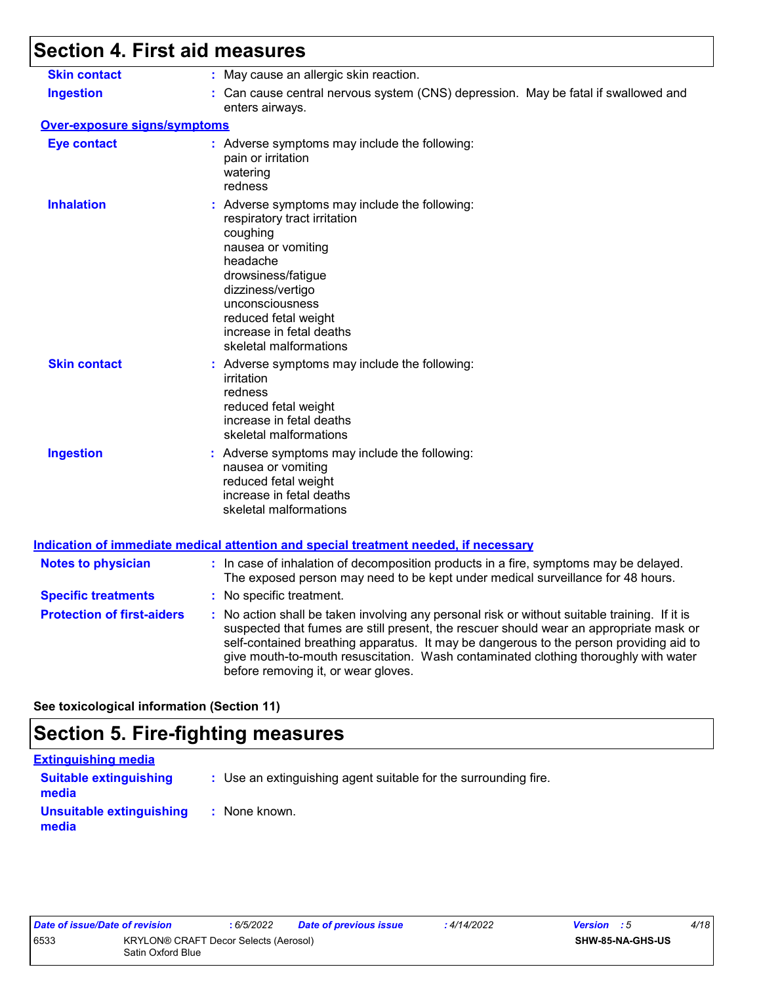## **Section 4. First aid measures**

| <b>Skin contact</b>               | : May cause an allergic skin reaction.                                                                                                                                                                                                                                                                                                                                                                          |
|-----------------------------------|-----------------------------------------------------------------------------------------------------------------------------------------------------------------------------------------------------------------------------------------------------------------------------------------------------------------------------------------------------------------------------------------------------------------|
| <b>Ingestion</b>                  | : Can cause central nervous system (CNS) depression. May be fatal if swallowed and<br>enters airways.                                                                                                                                                                                                                                                                                                           |
| Over-exposure signs/symptoms      |                                                                                                                                                                                                                                                                                                                                                                                                                 |
| <b>Eye contact</b>                | : Adverse symptoms may include the following:<br>pain or irritation<br>watering<br>redness                                                                                                                                                                                                                                                                                                                      |
| <b>Inhalation</b>                 | : Adverse symptoms may include the following:<br>respiratory tract irritation<br>coughing<br>nausea or vomiting<br>headache<br>drowsiness/fatigue<br>dizziness/vertigo<br>unconsciousness<br>reduced fetal weight<br>increase in fetal deaths<br>skeletal malformations                                                                                                                                         |
| <b>Skin contact</b>               | : Adverse symptoms may include the following:<br>irritation<br>redness<br>reduced fetal weight<br>increase in fetal deaths<br>skeletal malformations                                                                                                                                                                                                                                                            |
| <b>Ingestion</b>                  | : Adverse symptoms may include the following:<br>nausea or vomiting<br>reduced fetal weight<br>increase in fetal deaths<br>skeletal malformations<br><u>Indication of immediate medical attention and special treatment needed, if necessary</u>                                                                                                                                                                |
|                                   |                                                                                                                                                                                                                                                                                                                                                                                                                 |
| <b>Notes to physician</b>         | : In case of inhalation of decomposition products in a fire, symptoms may be delayed.<br>The exposed person may need to be kept under medical surveillance for 48 hours.                                                                                                                                                                                                                                        |
| <b>Specific treatments</b>        | : No specific treatment.                                                                                                                                                                                                                                                                                                                                                                                        |
| <b>Protection of first-aiders</b> | : No action shall be taken involving any personal risk or without suitable training. If it is<br>suspected that fumes are still present, the rescuer should wear an appropriate mask or<br>self-contained breathing apparatus. It may be dangerous to the person providing aid to<br>give mouth-to-mouth resuscitation. Wash contaminated clothing thoroughly with water<br>before removing it, or wear gloves. |

**See toxicological information (Section 11)**

## **Section 5. Fire-fighting measures**

| <b>Extinguishing media</b>             |                                                                 |  |
|----------------------------------------|-----------------------------------------------------------------|--|
| <b>Suitable extinguishing</b><br>media | : Use an extinguishing agent suitable for the surrounding fire. |  |
| Unsuitable extinguishing<br>media      | : None known.                                                   |  |

| Date of issue/Date of revision |                                                            | : 6/5/2022 | <b>Date of previous issue</b> | : 4/14/2022 | <b>Version</b> : 5      | 4/18 |
|--------------------------------|------------------------------------------------------------|------------|-------------------------------|-------------|-------------------------|------|
| 6533                           | KRYLON® CRAFT Decor Selects (Aerosol)<br>Satin Oxford Blue |            |                               |             | <b>SHW-85-NA-GHS-US</b> |      |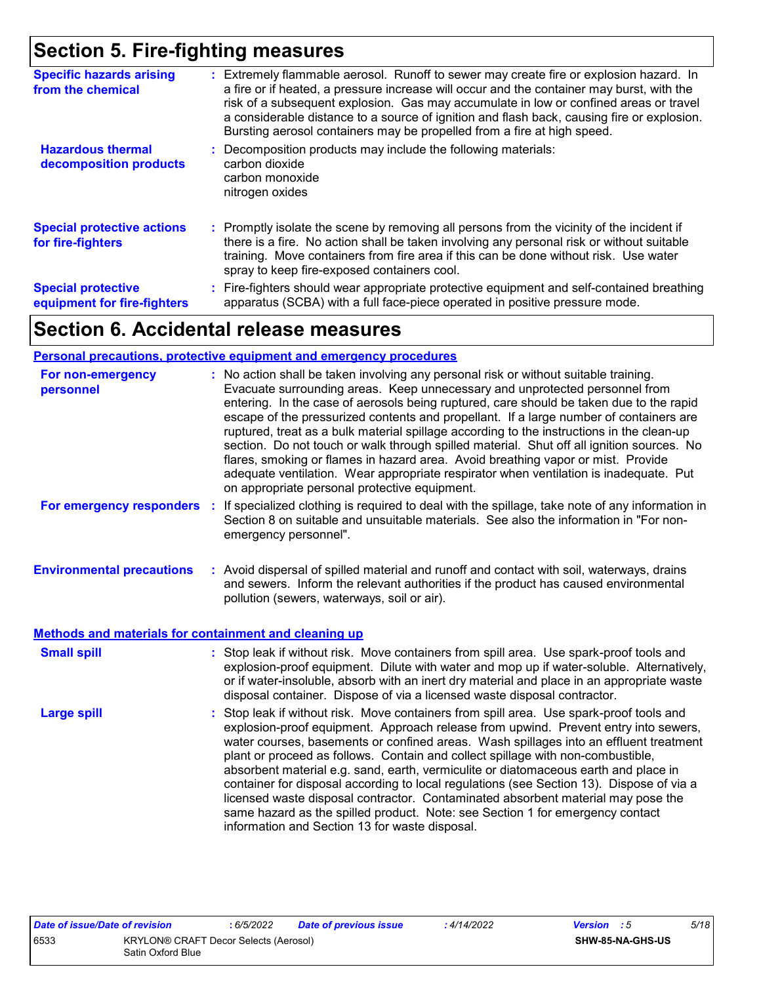## **Section 5. Fire-fighting measures**

| <b>Specific hazards arising</b><br>from the chemical     | : Extremely flammable aerosol. Runoff to sewer may create fire or explosion hazard. In<br>a fire or if heated, a pressure increase will occur and the container may burst, with the<br>risk of a subsequent explosion. Gas may accumulate in low or confined areas or travel<br>a considerable distance to a source of ignition and flash back, causing fire or explosion.<br>Bursting aerosol containers may be propelled from a fire at high speed. |
|----------------------------------------------------------|-------------------------------------------------------------------------------------------------------------------------------------------------------------------------------------------------------------------------------------------------------------------------------------------------------------------------------------------------------------------------------------------------------------------------------------------------------|
| <b>Hazardous thermal</b><br>decomposition products       | Decomposition products may include the following materials:<br>carbon dioxide<br>carbon monoxide<br>nitrogen oxides                                                                                                                                                                                                                                                                                                                                   |
| <b>Special protective actions</b><br>for fire-fighters   | : Promptly isolate the scene by removing all persons from the vicinity of the incident if<br>there is a fire. No action shall be taken involving any personal risk or without suitable<br>training. Move containers from fire area if this can be done without risk. Use water<br>spray to keep fire-exposed containers cool.                                                                                                                         |
| <b>Special protective</b><br>equipment for fire-fighters | : Fire-fighters should wear appropriate protective equipment and self-contained breathing<br>apparatus (SCBA) with a full face-piece operated in positive pressure mode.                                                                                                                                                                                                                                                                              |

## **Section 6. Accidental release measures**

#### **Personal precautions, protective equipment and emergency procedures**

| For non-emergency<br>personnel                        | : No action shall be taken involving any personal risk or without suitable training.<br>Evacuate surrounding areas. Keep unnecessary and unprotected personnel from<br>entering. In the case of aerosols being ruptured, care should be taken due to the rapid<br>escape of the pressurized contents and propellant. If a large number of containers are<br>ruptured, treat as a bulk material spillage according to the instructions in the clean-up<br>section. Do not touch or walk through spilled material. Shut off all ignition sources. No<br>flares, smoking or flames in hazard area. Avoid breathing vapor or mist. Provide<br>adequate ventilation. Wear appropriate respirator when ventilation is inadequate. Put<br>on appropriate personal protective equipment. |  |
|-------------------------------------------------------|----------------------------------------------------------------------------------------------------------------------------------------------------------------------------------------------------------------------------------------------------------------------------------------------------------------------------------------------------------------------------------------------------------------------------------------------------------------------------------------------------------------------------------------------------------------------------------------------------------------------------------------------------------------------------------------------------------------------------------------------------------------------------------|--|
| For emergency responders                              | : If specialized clothing is required to deal with the spillage, take note of any information in<br>Section 8 on suitable and unsuitable materials. See also the information in "For non-<br>emergency personnel".                                                                                                                                                                                                                                                                                                                                                                                                                                                                                                                                                               |  |
| <b>Environmental precautions</b>                      | : Avoid dispersal of spilled material and runoff and contact with soil, waterways, drains<br>and sewers. Inform the relevant authorities if the product has caused environmental<br>pollution (sewers, waterways, soil or air).                                                                                                                                                                                                                                                                                                                                                                                                                                                                                                                                                  |  |
| Methods and materials for containment and cleaning up |                                                                                                                                                                                                                                                                                                                                                                                                                                                                                                                                                                                                                                                                                                                                                                                  |  |
| <b>Small spill</b>                                    | : Stop leak if without risk. Move containers from spill area. Use spark-proof tools and<br>explosion-proof equipment. Dilute with water and mop up if water-soluble. Alternatively,<br>or if water-insoluble, absorb with an inert dry material and place in an appropriate waste<br>disposal container. Dispose of via a licensed waste disposal contractor.                                                                                                                                                                                                                                                                                                                                                                                                                    |  |
| <b>Large spill</b>                                    | : Stop leak if without risk. Move containers from spill area. Use spark-proof tools and<br>explosion-proof equipment. Approach release from upwind. Prevent entry into sewers,<br>water courses, basements or confined areas. Wash spillages into an effluent treatment<br>plant or proceed as follows. Contain and collect spillage with non-combustible,<br>absorbent material e.g. sand, earth, vermiculite or diatomaceous earth and place in<br>container for disposal according to local regulations (see Section 13). Dispose of via a<br>licensed waste disposal contractor. Contaminated absorbent material may pose the<br>same hazard as the spilled product. Note: see Section 1 for emergency contact<br>information and Section 13 for waste disposal.             |  |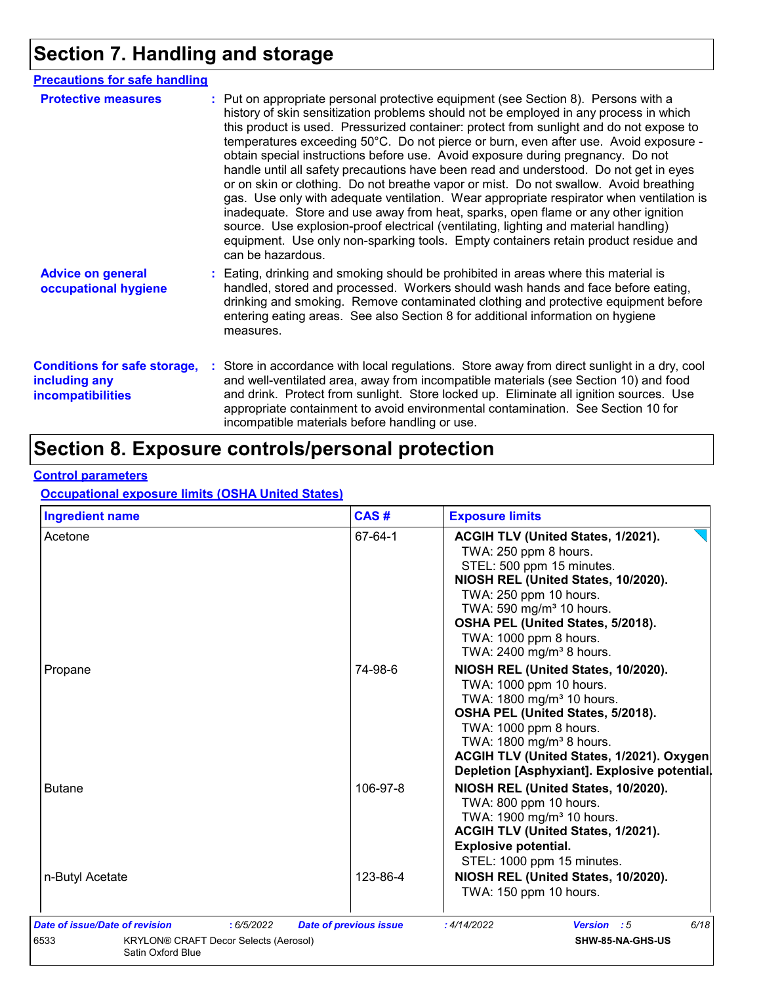## **Section 7. Handling and storage**

| <b>Precautions for safe handling</b>                                             |                                                                                                                                                                                                                                                                                                                                                                                                                                                                                                                                                                                                                                                                                                                                                                                                                                                                                                                                                                                                                           |
|----------------------------------------------------------------------------------|---------------------------------------------------------------------------------------------------------------------------------------------------------------------------------------------------------------------------------------------------------------------------------------------------------------------------------------------------------------------------------------------------------------------------------------------------------------------------------------------------------------------------------------------------------------------------------------------------------------------------------------------------------------------------------------------------------------------------------------------------------------------------------------------------------------------------------------------------------------------------------------------------------------------------------------------------------------------------------------------------------------------------|
| <b>Protective measures</b>                                                       | : Put on appropriate personal protective equipment (see Section 8). Persons with a<br>history of skin sensitization problems should not be employed in any process in which<br>this product is used. Pressurized container: protect from sunlight and do not expose to<br>temperatures exceeding 50°C. Do not pierce or burn, even after use. Avoid exposure -<br>obtain special instructions before use. Avoid exposure during pregnancy. Do not<br>handle until all safety precautions have been read and understood. Do not get in eyes<br>or on skin or clothing. Do not breathe vapor or mist. Do not swallow. Avoid breathing<br>gas. Use only with adequate ventilation. Wear appropriate respirator when ventilation is<br>inadequate. Store and use away from heat, sparks, open flame or any other ignition<br>source. Use explosion-proof electrical (ventilating, lighting and material handling)<br>equipment. Use only non-sparking tools. Empty containers retain product residue and<br>can be hazardous. |
| <b>Advice on general</b><br>occupational hygiene                                 | : Eating, drinking and smoking should be prohibited in areas where this material is<br>handled, stored and processed. Workers should wash hands and face before eating,<br>drinking and smoking. Remove contaminated clothing and protective equipment before<br>entering eating areas. See also Section 8 for additional information on hygiene<br>measures.                                                                                                                                                                                                                                                                                                                                                                                                                                                                                                                                                                                                                                                             |
| <b>Conditions for safe storage,</b><br>including any<br><b>incompatibilities</b> | : Store in accordance with local regulations. Store away from direct sunlight in a dry, cool<br>and well-ventilated area, away from incompatible materials (see Section 10) and food<br>and drink. Protect from sunlight. Store locked up. Eliminate all ignition sources. Use<br>appropriate containment to avoid environmental contamination. See Section 10 for<br>incompatible materials before handling or use.                                                                                                                                                                                                                                                                                                                                                                                                                                                                                                                                                                                                      |

## **Section 8. Exposure controls/personal protection**

#### **Control parameters**

#### **Occupational exposure limits (OSHA United States)**

| Acetone         |          |                                                                                                                                                                                                                                                                                                             |
|-----------------|----------|-------------------------------------------------------------------------------------------------------------------------------------------------------------------------------------------------------------------------------------------------------------------------------------------------------------|
|                 | 67-64-1  | ACGIH TLV (United States, 1/2021).<br>TWA: 250 ppm 8 hours.<br>STEL: 500 ppm 15 minutes.<br>NIOSH REL (United States, 10/2020).<br>TWA: 250 ppm 10 hours.<br>TWA: 590 mg/m <sup>3</sup> 10 hours.<br>OSHA PEL (United States, 5/2018).<br>TWA: 1000 ppm 8 hours.<br>TWA: 2400 mg/m <sup>3</sup> 8 hours.    |
| Propane         | 74-98-6  | NIOSH REL (United States, 10/2020).<br>TWA: 1000 ppm 10 hours.<br>TWA: 1800 mg/m <sup>3</sup> 10 hours.<br>OSHA PEL (United States, 5/2018).<br>TWA: 1000 ppm 8 hours.<br>TWA: 1800 mg/m <sup>3</sup> 8 hours.<br>ACGIH TLV (United States, 1/2021). Oxygen<br>Depletion [Asphyxiant]. Explosive potential. |
| <b>Butane</b>   | 106-97-8 | NIOSH REL (United States, 10/2020).<br>TWA: 800 ppm 10 hours.<br>TWA: 1900 mg/m <sup>3</sup> 10 hours.<br>ACGIH TLV (United States, 1/2021).<br><b>Explosive potential.</b><br>STEL: 1000 ppm 15 minutes.                                                                                                   |
| n-Butyl Acetate | 123-86-4 | NIOSH REL (United States, 10/2020).<br>TWA: 150 ppm 10 hours.                                                                                                                                                                                                                                               |
|                 |          |                                                                                                                                                                                                                                                                                                             |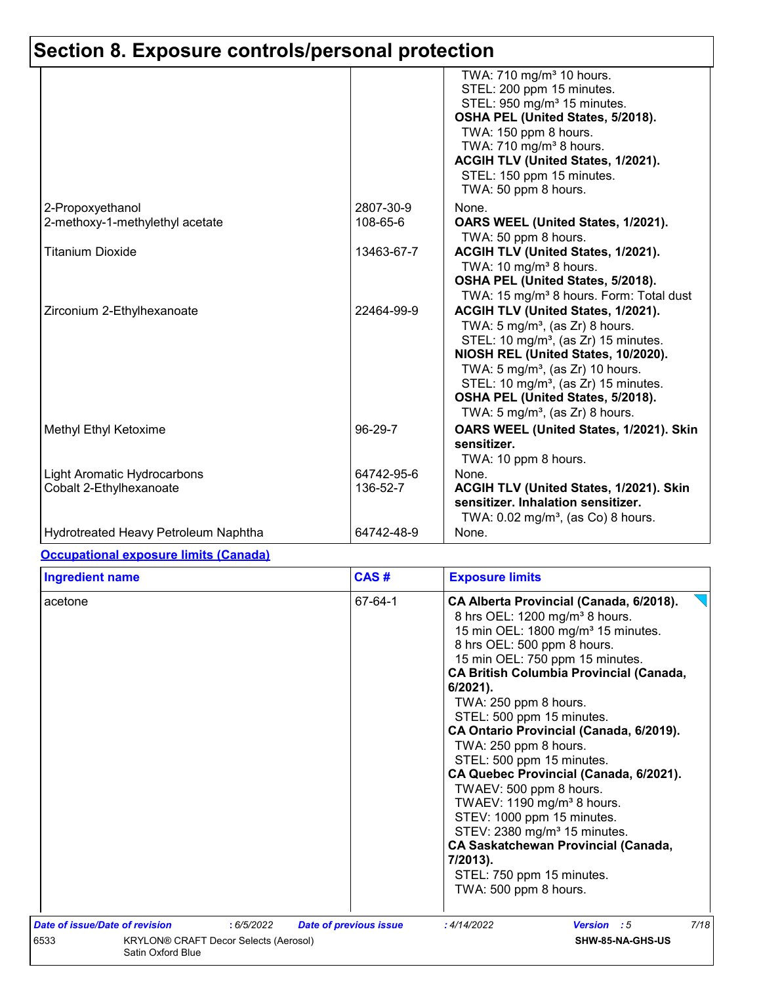# **Section 8. Exposure controls/personal protection**

|                                                               |                        | TWA: 710 mg/m <sup>3</sup> 10 hours.<br>STEL: 200 ppm 15 minutes.<br>STEL: 950 mg/m <sup>3</sup> 15 minutes.<br>OSHA PEL (United States, 5/2018).<br>TWA: 150 ppm 8 hours.<br>TWA: 710 mg/m <sup>3</sup> 8 hours.<br>ACGIH TLV (United States, 1/2021).<br>STEL: 150 ppm 15 minutes.<br>TWA: 50 ppm 8 hours.                                                      |
|---------------------------------------------------------------|------------------------|-------------------------------------------------------------------------------------------------------------------------------------------------------------------------------------------------------------------------------------------------------------------------------------------------------------------------------------------------------------------|
| 2-Propoxyethanol<br>2-methoxy-1-methylethyl acetate           | 2807-30-9<br>108-65-6  | None.<br>OARS WEEL (United States, 1/2021).<br>TWA: 50 ppm 8 hours.                                                                                                                                                                                                                                                                                               |
| <b>Titanium Dioxide</b>                                       | 13463-67-7             | ACGIH TLV (United States, 1/2021).<br>TWA: 10 mg/m <sup>3</sup> 8 hours.<br>OSHA PEL (United States, 5/2018).<br>TWA: 15 mg/m <sup>3</sup> 8 hours. Form: Total dust                                                                                                                                                                                              |
| Zirconium 2-Ethylhexanoate                                    | 22464-99-9             | ACGIH TLV (United States, 1/2021).<br>TWA: $5 \text{ mg/m}^3$ , (as Zr) 8 hours.<br>STEL: 10 mg/m <sup>3</sup> , (as Zr) 15 minutes.<br>NIOSH REL (United States, 10/2020).<br>TWA: $5 \text{ mg/m}^3$ , (as Zr) 10 hours.<br>STEL: 10 mg/m <sup>3</sup> , (as Zr) 15 minutes.<br>OSHA PEL (United States, 5/2018).<br>TWA: $5 \text{ mg/m}^3$ , (as Zr) 8 hours. |
| Methyl Ethyl Ketoxime                                         | 96-29-7                | OARS WEEL (United States, 1/2021). Skin<br>sensitizer.<br>TWA: 10 ppm 8 hours.                                                                                                                                                                                                                                                                                    |
| <b>Light Aromatic Hydrocarbons</b><br>Cobalt 2-Ethylhexanoate | 64742-95-6<br>136-52-7 | None.<br>ACGIH TLV (United States, 1/2021). Skin<br>sensitizer. Inhalation sensitizer.<br>TWA: $0.02$ mg/m <sup>3</sup> , (as Co) 8 hours.                                                                                                                                                                                                                        |
| Hydrotreated Heavy Petroleum Naphtha                          | 64742-48-9             | None.                                                                                                                                                                                                                                                                                                                                                             |

#### **Occupational exposure limits (Canada)**

| <b>Ingredient name</b>                        |           | CAS#                          | <b>Exposure limits</b>                                                                                                                                                                                                                                                                                                                                                                                                                                                                                                                                                                                                                                                                                                                     |      |
|-----------------------------------------------|-----------|-------------------------------|--------------------------------------------------------------------------------------------------------------------------------------------------------------------------------------------------------------------------------------------------------------------------------------------------------------------------------------------------------------------------------------------------------------------------------------------------------------------------------------------------------------------------------------------------------------------------------------------------------------------------------------------------------------------------------------------------------------------------------------------|------|
| acetone                                       |           | 67-64-1                       | CA Alberta Provincial (Canada, 6/2018).<br>8 hrs OEL: 1200 mg/m <sup>3</sup> 8 hours.<br>15 min OEL: 1800 mg/m <sup>3</sup> 15 minutes.<br>8 hrs OEL: 500 ppm 8 hours.<br>15 min OEL: 750 ppm 15 minutes.<br><b>CA British Columbia Provincial (Canada,</b><br>$6/2021$ ).<br>TWA: 250 ppm 8 hours.<br>STEL: 500 ppm 15 minutes.<br>CA Ontario Provincial (Canada, 6/2019).<br>TWA: 250 ppm 8 hours.<br>STEL: 500 ppm 15 minutes.<br>CA Quebec Provincial (Canada, 6/2021).<br>TWAEV: 500 ppm 8 hours.<br>TWAEV: 1190 mg/m <sup>3</sup> 8 hours.<br>STEV: 1000 ppm 15 minutes.<br>STEV: 2380 mg/m <sup>3</sup> 15 minutes.<br><b>CA Saskatchewan Provincial (Canada,</b><br>7/2013).<br>STEL: 750 ppm 15 minutes.<br>TWA: 500 ppm 8 hours. |      |
| Date of issue/Date of revision                | :6/5/2022 | <b>Date of previous issue</b> | : 4/14/2022<br>Version : 5                                                                                                                                                                                                                                                                                                                                                                                                                                                                                                                                                                                                                                                                                                                 | 7/18 |
| 6533<br>KRYLON® CRAFT Decor Selects (Aerosol) |           |                               | SHW-85-NA-GHS-US                                                                                                                                                                                                                                                                                                                                                                                                                                                                                                                                                                                                                                                                                                                           |      |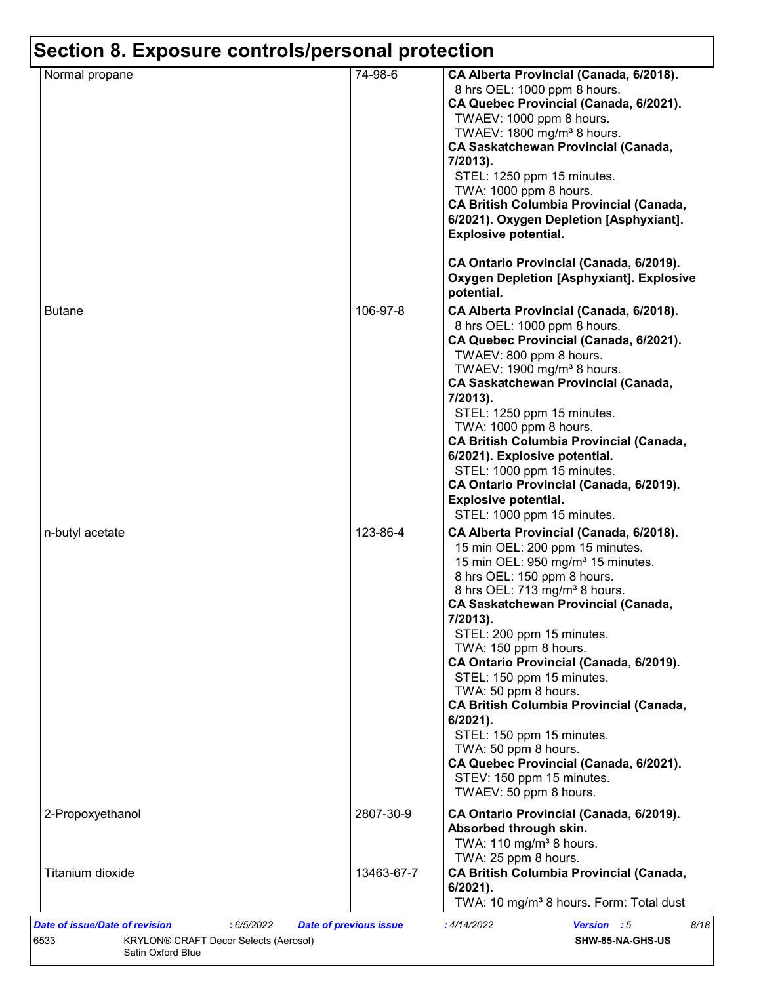| Normal propane   | 74-98-6    | CA Alberta Provincial (Canada, 6/2018).                                                                                                                                                                                                                                                                                                                                                                                                                                                                                                                                                                                                        |
|------------------|------------|------------------------------------------------------------------------------------------------------------------------------------------------------------------------------------------------------------------------------------------------------------------------------------------------------------------------------------------------------------------------------------------------------------------------------------------------------------------------------------------------------------------------------------------------------------------------------------------------------------------------------------------------|
|                  |            | 8 hrs OEL: 1000 ppm 8 hours.<br>CA Quebec Provincial (Canada, 6/2021).<br>TWAEV: 1000 ppm 8 hours.<br>TWAEV: 1800 mg/m <sup>3</sup> 8 hours.<br><b>CA Saskatchewan Provincial (Canada,</b><br>7/2013).<br>STEL: 1250 ppm 15 minutes.<br>TWA: 1000 ppm 8 hours.<br><b>CA British Columbia Provincial (Canada,</b><br>6/2021). Oxygen Depletion [Asphyxiant].<br><b>Explosive potential.</b>                                                                                                                                                                                                                                                     |
|                  |            | CA Ontario Provincial (Canada, 6/2019).<br><b>Oxygen Depletion [Asphyxiant]. Explosive</b><br>potential.                                                                                                                                                                                                                                                                                                                                                                                                                                                                                                                                       |
| <b>Butane</b>    | 106-97-8   | CA Alberta Provincial (Canada, 6/2018).<br>8 hrs OEL: 1000 ppm 8 hours.<br>CA Quebec Provincial (Canada, 6/2021).<br>TWAEV: 800 ppm 8 hours.<br>TWAEV: $1900 \text{ mg/m}^3$ 8 hours.<br><b>CA Saskatchewan Provincial (Canada,</b><br>7/2013).<br>STEL: 1250 ppm 15 minutes.<br>TWA: 1000 ppm 8 hours.<br><b>CA British Columbia Provincial (Canada,</b><br>6/2021). Explosive potential.<br>STEL: 1000 ppm 15 minutes.<br>CA Ontario Provincial (Canada, 6/2019).<br><b>Explosive potential.</b><br>STEL: 1000 ppm 15 minutes.                                                                                                               |
| n-butyl acetate  | 123-86-4   | CA Alberta Provincial (Canada, 6/2018).<br>15 min OEL: 200 ppm 15 minutes.<br>15 min OEL: 950 mg/m <sup>3</sup> 15 minutes.<br>8 hrs OEL: 150 ppm 8 hours.<br>8 hrs OEL: 713 mg/m <sup>3</sup> 8 hours.<br><b>CA Saskatchewan Provincial (Canada,</b><br>7/2013).<br>STEL: 200 ppm 15 minutes.<br>TWA: 150 ppm 8 hours.<br>CA Ontario Provincial (Canada, 6/2019).<br>STEL: 150 ppm 15 minutes.<br>TWA: 50 ppm 8 hours.<br><b>CA British Columbia Provincial (Canada,</b><br>$6/2021$ ).<br>STEL: 150 ppm 15 minutes.<br>TWA: 50 ppm 8 hours.<br>CA Quebec Provincial (Canada, 6/2021).<br>STEV: 150 ppm 15 minutes.<br>TWAEV: 50 ppm 8 hours. |
| 2-Propoxyethanol | 2807-30-9  | CA Ontario Provincial (Canada, 6/2019).<br>Absorbed through skin.<br>TWA: $110 \text{ mg/m}^3$ 8 hours.<br>TWA: 25 ppm 8 hours.                                                                                                                                                                                                                                                                                                                                                                                                                                                                                                                |
| Titanium dioxide | 13463-67-7 | <b>CA British Columbia Provincial (Canada,</b><br>6/2021).<br>TWA: 10 mg/m <sup>3</sup> 8 hours. Form: Total dust                                                                                                                                                                                                                                                                                                                                                                                                                                                                                                                              |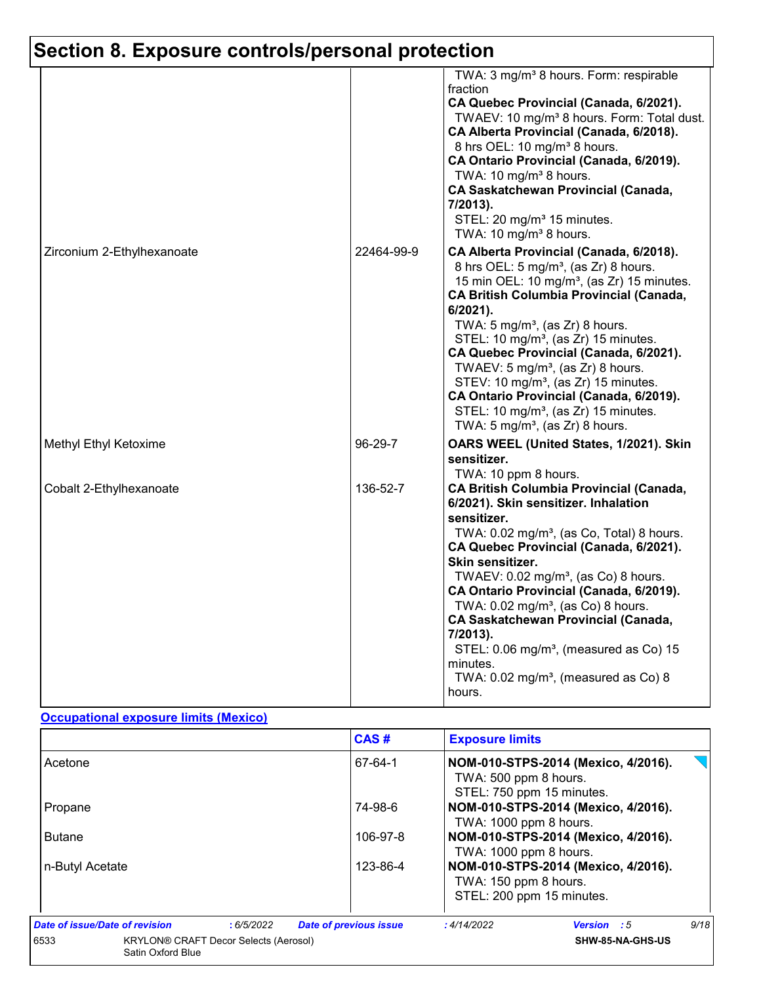# **Section 8. Exposure controls/personal protection**

|                            |            | TWA: 3 mg/m <sup>3</sup> 8 hours. Form: respirable<br>fraction<br>CA Quebec Provincial (Canada, 6/2021).<br>TWAEV: 10 mg/m <sup>3</sup> 8 hours. Form: Total dust.<br>CA Alberta Provincial (Canada, 6/2018).<br>8 hrs OEL: 10 mg/m <sup>3</sup> 8 hours.<br>CA Ontario Provincial (Canada, 6/2019).<br>TWA: 10 mg/m <sup>3</sup> 8 hours.<br><b>CA Saskatchewan Provincial (Canada,</b><br>7/2013).<br>STEL: 20 mg/m <sup>3</sup> 15 minutes.<br>TWA: 10 mg/m <sup>3</sup> 8 hours.                                                                                                                               |
|----------------------------|------------|--------------------------------------------------------------------------------------------------------------------------------------------------------------------------------------------------------------------------------------------------------------------------------------------------------------------------------------------------------------------------------------------------------------------------------------------------------------------------------------------------------------------------------------------------------------------------------------------------------------------|
| Zirconium 2-Ethylhexanoate | 22464-99-9 | CA Alberta Provincial (Canada, 6/2018).<br>8 hrs OEL: 5 mg/m <sup>3</sup> , (as Zr) 8 hours.<br>15 min OEL: 10 mg/m <sup>3</sup> , (as Zr) 15 minutes.<br><b>CA British Columbia Provincial (Canada,</b><br>6/2021).<br>TWA: $5 \text{ mg/m}^3$ , (as Zr) 8 hours.<br>STEL: 10 mg/m <sup>3</sup> , (as Zr) 15 minutes.<br>CA Quebec Provincial (Canada, 6/2021).<br>TWAEV: 5 mg/m <sup>3</sup> , (as Zr) 8 hours.<br>STEV: 10 mg/m <sup>3</sup> , (as Zr) 15 minutes.<br>CA Ontario Provincial (Canada, 6/2019).<br>STEL: 10 mg/m <sup>3</sup> , (as Zr) 15 minutes.<br>TWA: $5 \text{ mg/m}^3$ , (as Zr) 8 hours. |
| Methyl Ethyl Ketoxime      | 96-29-7    | OARS WEEL (United States, 1/2021). Skin<br>sensitizer.<br>TWA: 10 ppm 8 hours.                                                                                                                                                                                                                                                                                                                                                                                                                                                                                                                                     |
| Cobalt 2-Ethylhexanoate    | 136-52-7   | <b>CA British Columbia Provincial (Canada,</b><br>6/2021). Skin sensitizer. Inhalation<br>sensitizer.<br>TWA: 0.02 mg/m <sup>3</sup> , (as Co, Total) 8 hours.<br>CA Quebec Provincial (Canada, 6/2021).<br>Skin sensitizer.<br>TWAEV: $0.02$ mg/m <sup>3</sup> , (as Co) 8 hours.<br>CA Ontario Provincial (Canada, 6/2019).<br>TWA: 0.02 mg/m <sup>3</sup> , (as Co) 8 hours.<br><b>CA Saskatchewan Provincial (Canada,</b><br>7/2013).<br>STEL: 0.06 mg/m <sup>3</sup> , (measured as Co) 15<br>minutes.<br>TWA: $0.02$ mg/m <sup>3</sup> , (measured as Co) 8<br>hours.                                        |

#### **Occupational exposure limits (Mexico)**

|                                                                           |           | CAS#                          | <b>Exposure limits</b>                             |                                     |      |
|---------------------------------------------------------------------------|-----------|-------------------------------|----------------------------------------------------|-------------------------------------|------|
| Acetone                                                                   |           | 67-64-1                       | TWA: 500 ppm 8 hours.<br>STEL: 750 ppm 15 minutes. | NOM-010-STPS-2014 (Mexico, 4/2016). |      |
| Propane                                                                   |           | 74-98-6                       |                                                    | NOM-010-STPS-2014 (Mexico, 4/2016). |      |
|                                                                           |           |                               | TWA: 1000 ppm 8 hours.                             |                                     |      |
| <b>Butane</b>                                                             |           | 106-97-8                      |                                                    | NOM-010-STPS-2014 (Mexico, 4/2016). |      |
|                                                                           |           |                               | TWA: 1000 ppm 8 hours.                             |                                     |      |
| n-Butyl Acetate                                                           |           | 123-86-4                      | TWA: 150 ppm 8 hours.<br>STEL: 200 ppm 15 minutes. | NOM-010-STPS-2014 (Mexico, 4/2016). |      |
| Date of issue/Date of revision                                            | :6/5/2022 | <b>Date of previous issue</b> | : 4/14/2022                                        | <b>Version</b> : 5                  | 9/18 |
| 6533<br><b>KRYLON® CRAFT Decor Selects (Aerosol)</b><br>Satin Oxford Blue |           |                               |                                                    | SHW-85-NA-GHS-US                    |      |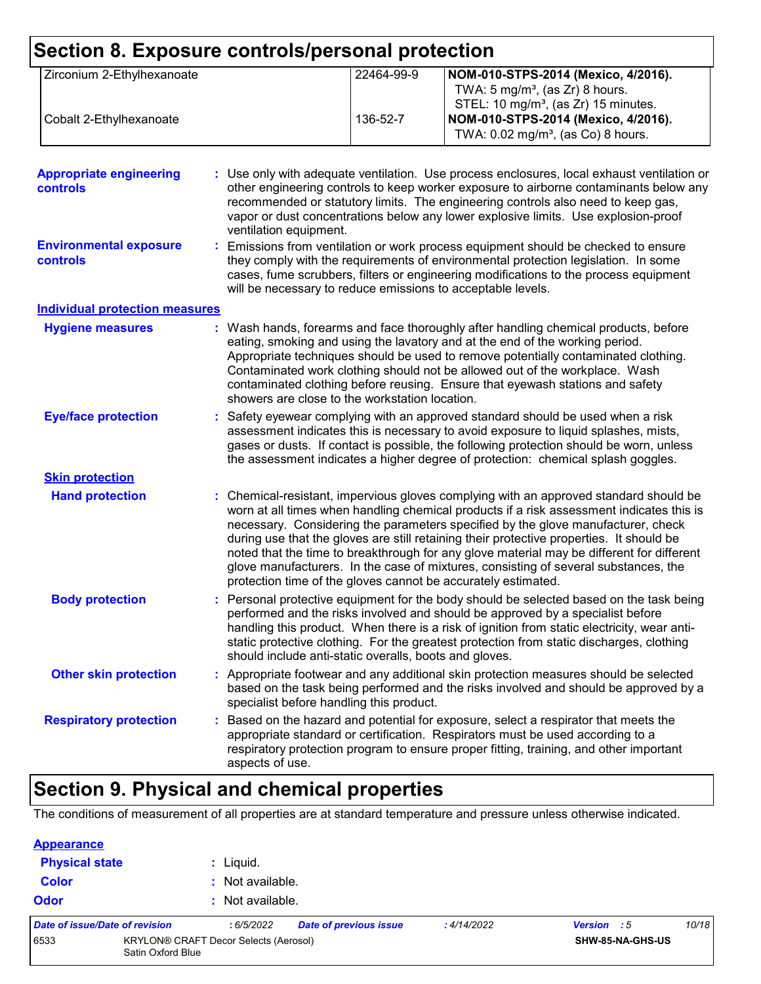| Section 8. Exposure controls/personal protection  |                                                                                                                                                                                                                                                                                                                                                                                                                              |            |                                                                                                                                                                                                                                                                                                                                                                                                                                                                                                                                                                                                                        |  |
|---------------------------------------------------|------------------------------------------------------------------------------------------------------------------------------------------------------------------------------------------------------------------------------------------------------------------------------------------------------------------------------------------------------------------------------------------------------------------------------|------------|------------------------------------------------------------------------------------------------------------------------------------------------------------------------------------------------------------------------------------------------------------------------------------------------------------------------------------------------------------------------------------------------------------------------------------------------------------------------------------------------------------------------------------------------------------------------------------------------------------------------|--|
| Zirconium 2-Ethylhexanoate                        |                                                                                                                                                                                                                                                                                                                                                                                                                              | 22464-99-9 | NOM-010-STPS-2014 (Mexico, 4/2016).<br>TWA: $5 \text{ mg/m}^3$ , (as Zr) 8 hours.<br>STEL: 10 mg/m <sup>3</sup> , (as Zr) 15 minutes.                                                                                                                                                                                                                                                                                                                                                                                                                                                                                  |  |
| Cobalt 2-Ethylhexanoate                           |                                                                                                                                                                                                                                                                                                                                                                                                                              | 136-52-7   | NOM-010-STPS-2014 (Mexico, 4/2016).<br>TWA: 0.02 mg/m <sup>3</sup> , (as Co) 8 hours.                                                                                                                                                                                                                                                                                                                                                                                                                                                                                                                                  |  |
| <b>Appropriate engineering</b><br><b>controls</b> | ventilation equipment.                                                                                                                                                                                                                                                                                                                                                                                                       |            | : Use only with adequate ventilation. Use process enclosures, local exhaust ventilation or<br>other engineering controls to keep worker exposure to airborne contaminants below any<br>recommended or statutory limits. The engineering controls also need to keep gas,<br>vapor or dust concentrations below any lower explosive limits. Use explosion-proof                                                                                                                                                                                                                                                          |  |
| <b>Environmental exposure</b><br>controls         | will be necessary to reduce emissions to acceptable levels.                                                                                                                                                                                                                                                                                                                                                                  |            | Emissions from ventilation or work process equipment should be checked to ensure<br>they comply with the requirements of environmental protection legislation. In some<br>cases, fume scrubbers, filters or engineering modifications to the process equipment                                                                                                                                                                                                                                                                                                                                                         |  |
| <b>Individual protection measures</b>             |                                                                                                                                                                                                                                                                                                                                                                                                                              |            |                                                                                                                                                                                                                                                                                                                                                                                                                                                                                                                                                                                                                        |  |
| <b>Hygiene measures</b>                           | showers are close to the workstation location.                                                                                                                                                                                                                                                                                                                                                                               |            | : Wash hands, forearms and face thoroughly after handling chemical products, before<br>eating, smoking and using the lavatory and at the end of the working period.<br>Appropriate techniques should be used to remove potentially contaminated clothing.<br>Contaminated work clothing should not be allowed out of the workplace. Wash<br>contaminated clothing before reusing. Ensure that eyewash stations and safety                                                                                                                                                                                              |  |
| <b>Eye/face protection</b>                        |                                                                                                                                                                                                                                                                                                                                                                                                                              |            | Safety eyewear complying with an approved standard should be used when a risk<br>assessment indicates this is necessary to avoid exposure to liquid splashes, mists,<br>gases or dusts. If contact is possible, the following protection should be worn, unless<br>the assessment indicates a higher degree of protection: chemical splash goggles.                                                                                                                                                                                                                                                                    |  |
| <b>Skin protection</b>                            |                                                                                                                                                                                                                                                                                                                                                                                                                              |            |                                                                                                                                                                                                                                                                                                                                                                                                                                                                                                                                                                                                                        |  |
| <b>Hand protection</b>                            |                                                                                                                                                                                                                                                                                                                                                                                                                              |            | : Chemical-resistant, impervious gloves complying with an approved standard should be<br>worn at all times when handling chemical products if a risk assessment indicates this is<br>necessary. Considering the parameters specified by the glove manufacturer, check<br>during use that the gloves are still retaining their protective properties. It should be<br>noted that the time to breakthrough for any glove material may be different for different<br>glove manufacturers. In the case of mixtures, consisting of several substances, the<br>protection time of the gloves cannot be accurately estimated. |  |
| <b>Body protection</b>                            | Personal protective equipment for the body should be selected based on the task being<br>performed and the risks involved and should be approved by a specialist before<br>handling this product. When there is a risk of ignition from static electricity, wear anti-<br>static protective clothing. For the greatest protection from static discharges, clothing<br>should include anti-static overalls, boots and gloves. |            |                                                                                                                                                                                                                                                                                                                                                                                                                                                                                                                                                                                                                        |  |
| <b>Other skin protection</b>                      | specialist before handling this product.                                                                                                                                                                                                                                                                                                                                                                                     |            | Appropriate footwear and any additional skin protection measures should be selected<br>based on the task being performed and the risks involved and should be approved by a                                                                                                                                                                                                                                                                                                                                                                                                                                            |  |
| <b>Respiratory protection</b>                     | aspects of use.                                                                                                                                                                                                                                                                                                                                                                                                              |            | : Based on the hazard and potential for exposure, select a respirator that meets the<br>appropriate standard or certification. Respirators must be used according to a<br>respiratory protection program to ensure proper fitting, training, and other important                                                                                                                                                                                                                                                                                                                                                       |  |

## **Section 9. Physical and chemical properties**

The conditions of measurement of all properties are at standard temperature and pressure unless otherwise indicated.

| <b>Appearance</b> |
|-------------------|
|-------------------|

| <b>Physical state</b>          |                   | $:$ Liquid.                                  |                        |             |                    |       |
|--------------------------------|-------------------|----------------------------------------------|------------------------|-------------|--------------------|-------|
| <b>Color</b>                   |                   | : Not available.                             |                        |             |                    |       |
| <b>Odor</b>                    |                   | : Not available.                             |                        |             |                    |       |
| Date of issue/Date of revision |                   | :6/5/2022                                    | Date of previous issue | : 4/14/2022 | <b>Version</b> : 5 | 10/18 |
| 6533                           | Satin Oxford Blue | <b>KRYLON® CRAFT Decor Selects (Aerosol)</b> |                        |             | SHW-85-NA-GHS-US   |       |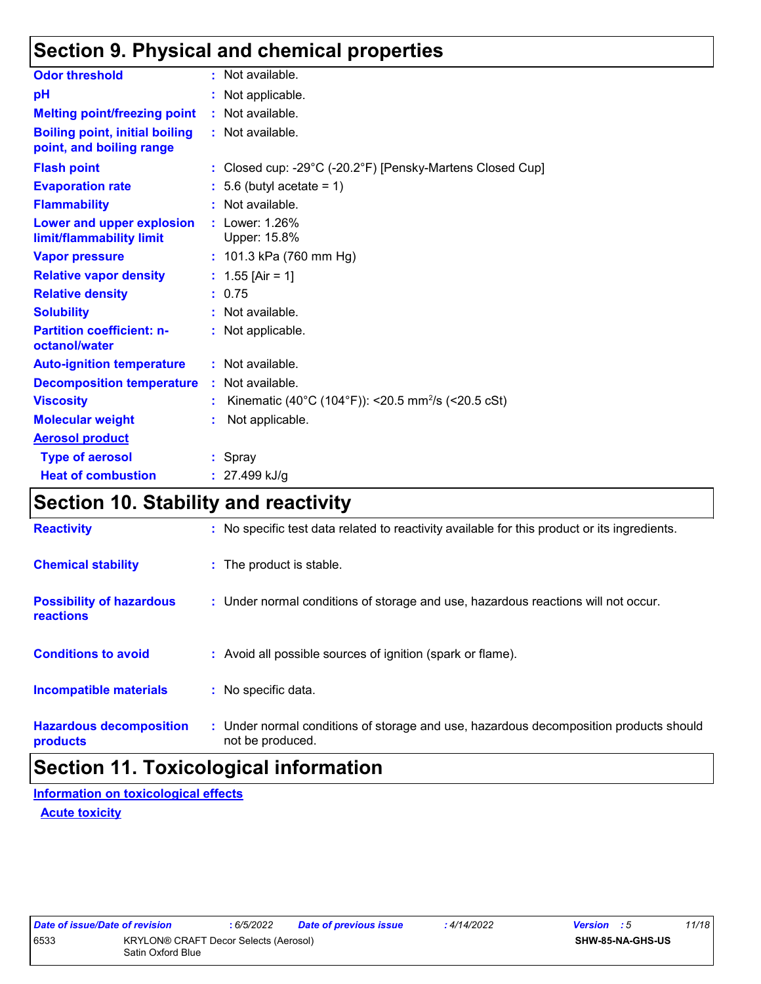## **Section 9. Physical and chemical properties**

| <b>Odor threshold</b>                                             | : Not available.                                               |
|-------------------------------------------------------------------|----------------------------------------------------------------|
| pH                                                                | : Not applicable.                                              |
| <b>Melting point/freezing point</b>                               | $:$ Not available.                                             |
| <b>Boiling point, initial boiling</b><br>point, and boiling range | : Not available.                                               |
| <b>Flash point</b>                                                | : Closed cup: -29°C (-20.2°F) [Pensky-Martens Closed Cup]      |
| <b>Evaporation rate</b>                                           | $: 5.6$ (butyl acetate = 1)                                    |
| <b>Flammability</b>                                               | : Not available.                                               |
| <b>Lower and upper explosion</b><br>limit/flammability limit      | : Lower: 1.26%<br>Upper: 15.8%                                 |
| <b>Vapor pressure</b>                                             | : $101.3$ kPa (760 mm Hg)                                      |
| <b>Relative vapor density</b>                                     | : $1.55$ [Air = 1]                                             |
| <b>Relative density</b>                                           | : 0.75                                                         |
| <b>Solubility</b>                                                 | : Not available.                                               |
| <b>Partition coefficient: n-</b><br>octanol/water                 | : Not applicable.                                              |
| <b>Auto-ignition temperature</b>                                  | : Not available.                                               |
| <b>Decomposition temperature</b>                                  | : Not available.                                               |
| <b>Viscosity</b>                                                  | Kinematic (40°C (104°F)): <20.5 mm <sup>2</sup> /s (<20.5 cSt) |
| <b>Molecular weight</b>                                           | Not applicable.                                                |
| <b>Aerosol product</b>                                            |                                                                |
| <b>Type of aerosol</b>                                            | : Spray                                                        |
| <b>Heat of combustion</b>                                         | $: 27.499$ kJ/g                                                |

## **Section 10. Stability and reactivity**

| <b>Reactivity</b>                                   | : No specific test data related to reactivity available for this product or its ingredients.              |
|-----------------------------------------------------|-----------------------------------------------------------------------------------------------------------|
| <b>Chemical stability</b>                           | : The product is stable.                                                                                  |
| <b>Possibility of hazardous</b><br><b>reactions</b> | : Under normal conditions of storage and use, hazardous reactions will not occur.                         |
| <b>Conditions to avoid</b>                          | : Avoid all possible sources of ignition (spark or flame).                                                |
| <b>Incompatible materials</b>                       | : No specific data.                                                                                       |
| <b>Hazardous decomposition</b><br>products          | : Under normal conditions of storage and use, hazardous decomposition products should<br>not be produced. |

## **Section 11. Toxicological information**

**Acute toxicity Information on toxicological effects**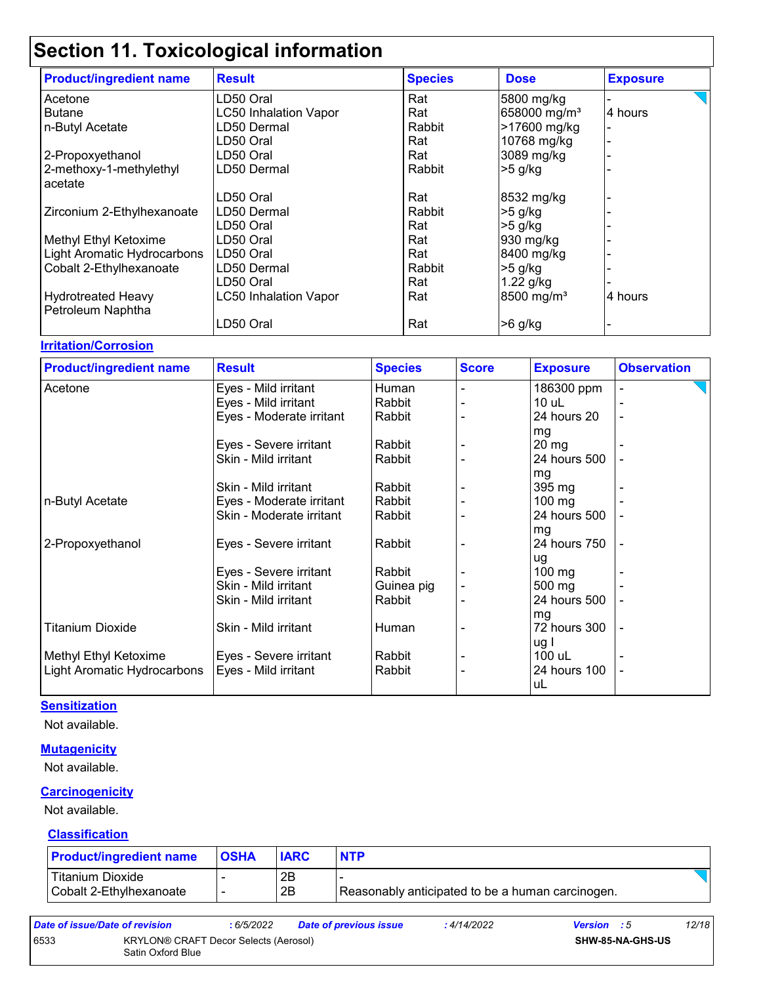| <b>Product/ingredient name</b> | <b>Result</b>                | <b>Species</b> | <b>Dose</b>              | <b>Exposure</b> |
|--------------------------------|------------------------------|----------------|--------------------------|-----------------|
| Acetone                        | LD50 Oral                    | Rat            | 5800 mg/kg               |                 |
| <b>Butane</b>                  | <b>LC50 Inhalation Vapor</b> | Rat            | 658000 mg/m <sup>3</sup> | 4 hours         |
| n-Butyl Acetate                | LD50 Dermal                  | Rabbit         | >17600 mg/kg             |                 |
|                                | LD50 Oral                    | Rat            | 10768 mg/kg              |                 |
| 2-Propoxyethanol               | LD50 Oral                    | Rat            | 3089 mg/kg               |                 |
| 2-methoxy-1-methylethyl        | LD50 Dermal                  | Rabbit         | $>5$ g/kg                |                 |
| acetate                        |                              |                |                          |                 |
|                                | LD50 Oral                    | Rat            | 8532 mg/kg               |                 |
| Zirconium 2-Ethylhexanoate     | LD50 Dermal                  | Rabbit         | $>5$ g/kg                |                 |
|                                | LD50 Oral                    | Rat            | $>5$ g/kg                |                 |
| Methyl Ethyl Ketoxime          | LD50 Oral                    | Rat            | 930 mg/kg                |                 |
| Light Aromatic Hydrocarbons    | LD50 Oral                    | Rat            | 8400 mg/kg               |                 |
| Cobalt 2-Ethylhexanoate        | LD50 Dermal                  | Rabbit         | $>5$ g/kg                |                 |
|                                | LD50 Oral                    | Rat            | 1.22 g/kg                |                 |
| <b>Hydrotreated Heavy</b>      | <b>LC50 Inhalation Vapor</b> | Rat            | 8500 mg/m <sup>3</sup>   | 4 hours         |
| Petroleum Naphtha              |                              |                |                          |                 |
|                                | LD50 Oral                    | Rat            | $>6$ g/kg                |                 |

#### **Irritation/Corrosion**

| <b>Product/ingredient name</b> | <b>Result</b>            | <b>Species</b> | <b>Score</b> | <b>Exposure</b>  | <b>Observation</b> |  |
|--------------------------------|--------------------------|----------------|--------------|------------------|--------------------|--|
| Acetone                        | Eyes - Mild irritant     | Human          |              | 186300 ppm       |                    |  |
|                                | Eyes - Mild irritant     | Rabbit         |              | 10 uL            | -                  |  |
|                                | Eyes - Moderate irritant | Rabbit         |              | 24 hours 20      |                    |  |
|                                |                          |                |              | mg               |                    |  |
|                                | Eyes - Severe irritant   | Rabbit         |              | $20 \, mg$       |                    |  |
|                                | Skin - Mild irritant     | Rabbit         |              | 24 hours 500     |                    |  |
|                                |                          |                |              | mg               |                    |  |
|                                | Skin - Mild irritant     | Rabbit         |              | 395 mg           |                    |  |
| n-Butyl Acetate                | Eyes - Moderate irritant | Rabbit         |              | $100$ mg         |                    |  |
|                                | Skin - Moderate irritant | Rabbit         |              | 24 hours 500     |                    |  |
|                                |                          |                |              | mg               |                    |  |
| 2-Propoxyethanol               | Eyes - Severe irritant   | Rabbit         |              | 24 hours 750     |                    |  |
|                                |                          |                |              | ug               |                    |  |
|                                | Eyes - Severe irritant   | Rabbit         |              | $100 \text{ mg}$ |                    |  |
|                                | Skin - Mild irritant     | Guinea pig     |              | 500 mg           |                    |  |
|                                | Skin - Mild irritant     | Rabbit         |              | 24 hours 500     |                    |  |
|                                |                          |                |              | mg               |                    |  |
| <b>Titanium Dioxide</b>        | Skin - Mild irritant     | Human          |              | 72 hours 300     |                    |  |
|                                |                          |                |              | ug I             |                    |  |
| Methyl Ethyl Ketoxime          | Eyes - Severe irritant   | Rabbit         |              | 100 uL           |                    |  |
| Light Aromatic Hydrocarbons    | Eyes - Mild irritant     | Rabbit         |              | 24 hours 100     |                    |  |
|                                |                          |                |              | uL               |                    |  |

#### **Sensitization**

Not available.

#### **Mutagenicity**

Not available.

#### **Carcinogenicity**

Not available.

#### **Classification**

| <b>Product/ingredient name</b>              | <b>OSHA</b>              | <b>IARC</b> | <b>NTP</b>                                       |  |
|---------------------------------------------|--------------------------|-------------|--------------------------------------------------|--|
| Titanium Dioxide<br>Cobalt 2-Ethylhexanoate | $\overline{\phantom{0}}$ | 2Β<br>2B    | Reasonably anticipated to be a human carcinogen. |  |

| Date of issue/Date of revision |                                                            | : 6/5/2022 | <b>Date of previous issue</b> | : 4/14/2022 | <b>Version</b> : 5 |                         | 12/18 |
|--------------------------------|------------------------------------------------------------|------------|-------------------------------|-------------|--------------------|-------------------------|-------|
| 6533                           | KRYLON® CRAFT Decor Selects (Aerosol)<br>Satin Oxford Blue |            |                               |             |                    | <b>SHW-85-NA-GHS-US</b> |       |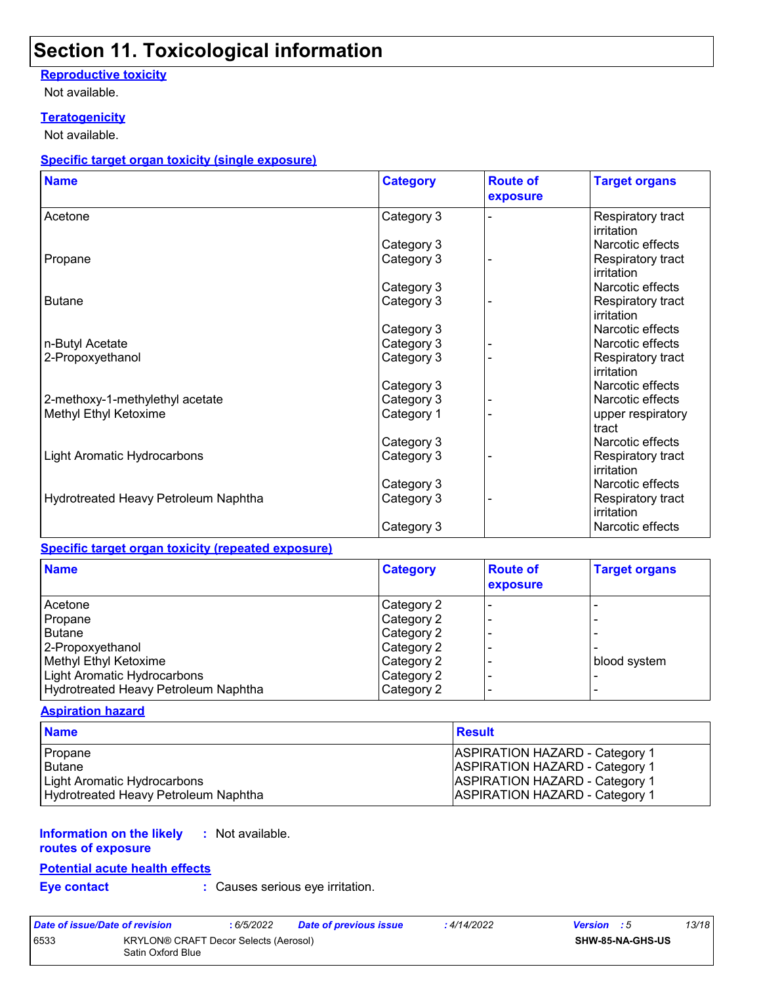#### **Reproductive toxicity**

Not available.

#### **Teratogenicity**

Not available.

#### **Specific target organ toxicity (single exposure)**

| <b>Name</b>                          | <b>Category</b> | <b>Route of</b><br>exposure | <b>Target organs</b>                   |
|--------------------------------------|-----------------|-----------------------------|----------------------------------------|
| Acetone                              | Category 3      |                             | Respiratory tract<br>irritation        |
|                                      | Category 3      |                             | Narcotic effects                       |
| Propane                              | Category 3      |                             | Respiratory tract<br>irritation        |
|                                      | Category 3      |                             | Narcotic effects                       |
| <b>Butane</b>                        | Category 3      |                             | Respiratory tract<br>irritation        |
|                                      | Category 3      |                             | Narcotic effects                       |
| n-Butyl Acetate                      | Category 3      |                             | Narcotic effects                       |
| 2-Propoxyethanol                     | Category 3      |                             | Respiratory tract<br>irritation        |
|                                      | Category 3      |                             | Narcotic effects                       |
| 2-methoxy-1-methylethyl acetate      | Category 3      |                             | Narcotic effects                       |
| Methyl Ethyl Ketoxime                | Category 1      |                             | upper respiratory<br>tract             |
|                                      | Category 3      |                             | Narcotic effects                       |
| Light Aromatic Hydrocarbons          | Category 3      |                             | Respiratory tract<br><i>irritation</i> |
|                                      | Category 3      |                             | Narcotic effects                       |
| Hydrotreated Heavy Petroleum Naphtha | Category 3      |                             | Respiratory tract<br>irritation        |
|                                      | Category 3      |                             | Narcotic effects                       |

#### **Specific target organ toxicity (repeated exposure)**

| <b>Name</b>                          | <b>Category</b> | <b>Route of</b><br>exposure | <b>Target organs</b> |
|--------------------------------------|-----------------|-----------------------------|----------------------|
| Acetone                              | Category 2      | $\blacksquare$              |                      |
| Propane                              | Category 2      |                             |                      |
| Butane                               | Category 2      |                             |                      |
| 2-Propoxyethanol                     | Category 2      |                             |                      |
| Methyl Ethyl Ketoxime                | Category 2      |                             | blood system         |
| Light Aromatic Hydrocarbons          | Category 2      |                             |                      |
| Hydrotreated Heavy Petroleum Naphtha | Category 2      |                             |                      |

#### **Aspiration hazard**

| <b>Name</b>                          | <b>Result</b>                         |
|--------------------------------------|---------------------------------------|
| Propane                              | <b>ASPIRATION HAZARD - Category 1</b> |
| <b>Butane</b>                        | ASPIRATION HAZARD - Category 1        |
| Light Aromatic Hydrocarbons          | ASPIRATION HAZARD - Category 1        |
| Hydrotreated Heavy Petroleum Naphtha | <b>ASPIRATION HAZARD - Category 1</b> |

#### **Information on the likely :** Not available.

## **routes of exposure**

#### **Potential acute health effects**

**Eye contact :** Causes serious eye irritation.

| Date of issue/Date of revision                                     |  | : 6/5/2022 | <b>Date of previous issue</b> | : 4/14/2022 | <b>Version</b> : 5 | 13/18 |
|--------------------------------------------------------------------|--|------------|-------------------------------|-------------|--------------------|-------|
| 6533<br>KRYLON® CRAFT Decor Selects (Aerosol)<br>Satin Oxford Blue |  |            | <b>SHW-85-NA-GHS-US</b>       |             |                    |       |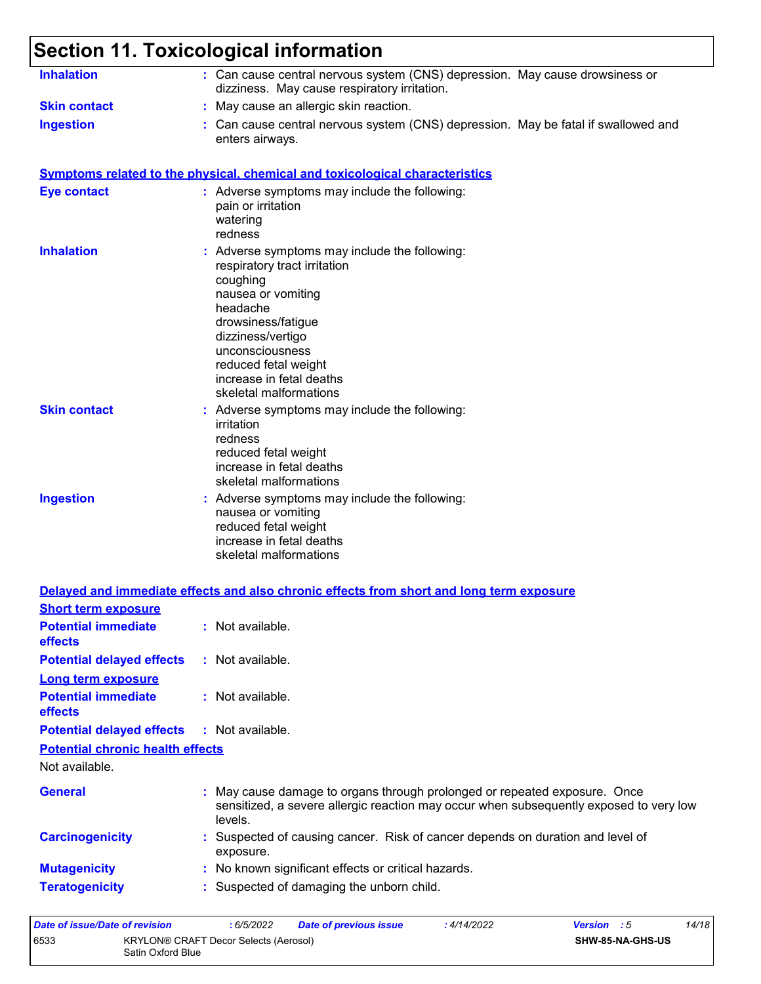| <b>Inhalation</b>                                                  | : Can cause central nervous system (CNS) depression. May cause drowsiness or<br>dizziness. May cause respiratory irritation.                                                                                                                                            |
|--------------------------------------------------------------------|-------------------------------------------------------------------------------------------------------------------------------------------------------------------------------------------------------------------------------------------------------------------------|
| <b>Skin contact</b>                                                | : May cause an allergic skin reaction.                                                                                                                                                                                                                                  |
| <b>Ingestion</b>                                                   | Can cause central nervous system (CNS) depression. May be fatal if swallowed and<br>enters airways.                                                                                                                                                                     |
|                                                                    | <b>Symptoms related to the physical, chemical and toxicological characteristics</b>                                                                                                                                                                                     |
| <b>Eye contact</b>                                                 | : Adverse symptoms may include the following:<br>pain or irritation<br>watering<br>redness                                                                                                                                                                              |
| <b>Inhalation</b>                                                  | : Adverse symptoms may include the following:<br>respiratory tract irritation<br>coughing<br>nausea or vomiting<br>headache<br>drowsiness/fatigue<br>dizziness/vertigo<br>unconsciousness<br>reduced fetal weight<br>increase in fetal deaths<br>skeletal malformations |
| <b>Skin contact</b>                                                | : Adverse symptoms may include the following:<br>irritation<br>redness<br>reduced fetal weight<br>increase in fetal deaths<br>skeletal malformations                                                                                                                    |
| <b>Ingestion</b>                                                   | : Adverse symptoms may include the following:<br>nausea or vomiting<br>reduced fetal weight<br>increase in fetal deaths<br>skeletal malformations                                                                                                                       |
|                                                                    | Delayed and immediate effects and also chronic effects from short and long term exposure                                                                                                                                                                                |
| <b>Short term exposure</b>                                         |                                                                                                                                                                                                                                                                         |
| <b>Potential immediate</b><br>effects                              | $:$ Not available.                                                                                                                                                                                                                                                      |
| <b>Potential delayed effects</b>                                   | : Not available.                                                                                                                                                                                                                                                        |
| <b>Long term exposure</b><br><b>Potential immediate</b><br>effects | : Not available.                                                                                                                                                                                                                                                        |
| <b>Potential delayed effects</b>                                   | : Not available.                                                                                                                                                                                                                                                        |
| <b>Potential chronic health effects</b>                            |                                                                                                                                                                                                                                                                         |
| Not available.                                                     |                                                                                                                                                                                                                                                                         |
| <b>General</b>                                                     | May cause damage to organs through prolonged or repeated exposure. Once<br>sensitized, a severe allergic reaction may occur when subsequently exposed to very low<br>levels.                                                                                            |
| <b>Carcinogenicity</b>                                             | Suspected of causing cancer. Risk of cancer depends on duration and level of<br>exposure.                                                                                                                                                                               |
| <b>Mutagenicity</b>                                                | : No known significant effects or critical hazards.                                                                                                                                                                                                                     |
| <b>Teratogenicity</b>                                              | : Suspected of damaging the unborn child.                                                                                                                                                                                                                               |
|                                                                    |                                                                                                                                                                                                                                                                         |

| Date of issue/Date of revision |                                                            | : 6/5/2022 | <b>Date of previous issue</b> | : 4/14/2022             | <b>Version</b> : 5 | 14/18 |
|--------------------------------|------------------------------------------------------------|------------|-------------------------------|-------------------------|--------------------|-------|
| 6533                           | KRYLON® CRAFT Decor Selects (Aerosol)<br>Satin Oxford Blue |            |                               | <b>SHW-85-NA-GHS-US</b> |                    |       |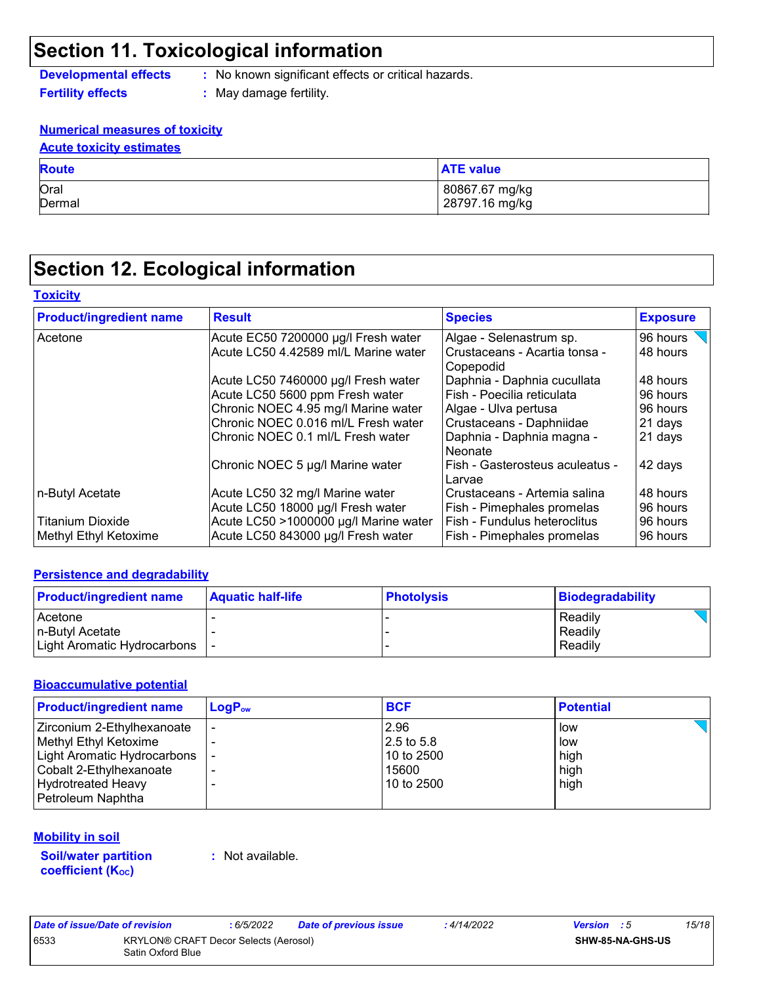**Developmental effects :** No known significant effects or critical hazards.

**Fertility effects :** May damage fertility.

#### **Numerical measures of toxicity**

| <b>Acute toxicity estimates</b> |
|---------------------------------|
| <b>Route</b>                    |

| <b>Route</b> | <b>ATE value</b> |
|--------------|------------------|
| Oral         | 80867.67 mg/kg   |
| Dermal       | 28797.16 mg/kg   |

## **Section 12. Ecological information**

#### **Toxicity**

| <b>Product/ingredient name</b> | <b>Result</b>                         | <b>Species</b>                             | <b>Exposure</b> |
|--------------------------------|---------------------------------------|--------------------------------------------|-----------------|
| Acetone                        | Acute EC50 7200000 µg/l Fresh water   | Algae - Selenastrum sp.                    | 96 hours        |
|                                | Acute LC50 4.42589 ml/L Marine water  | Crustaceans - Acartia tonsa -<br>Copepodid | 48 hours        |
|                                | Acute LC50 7460000 µg/l Fresh water   | Daphnia - Daphnia cucullata                | 48 hours        |
|                                | Acute LC50 5600 ppm Fresh water       | Fish - Poecilia reticulata                 | 96 hours        |
|                                | Chronic NOEC 4.95 mg/l Marine water   | Algae - Ulva pertusa                       | 96 hours        |
|                                | Chronic NOEC 0.016 ml/L Fresh water   | Crustaceans - Daphniidae                   | 21 days         |
|                                | Chronic NOEC 0.1 ml/L Fresh water     | Daphnia - Daphnia magna -<br>Neonate       | 21 days         |
|                                | Chronic NOEC 5 µg/l Marine water      | Fish - Gasterosteus aculeatus -<br>Larvae  | 42 days         |
| n-Butyl Acetate                | Acute LC50 32 mg/l Marine water       | Crustaceans - Artemia salina               | 48 hours        |
|                                | Acute LC50 18000 µg/l Fresh water     | Fish - Pimephales promelas                 | 96 hours        |
| <b>Titanium Dioxide</b>        | Acute LC50 >1000000 µg/l Marine water | Fish - Fundulus heteroclitus               | 96 hours        |
| Methyl Ethyl Ketoxime          | Acute LC50 843000 µg/l Fresh water    | Fish - Pimephales promelas                 | 96 hours        |

#### **Persistence and degradability**

| <b>Product/ingredient name</b> | <b>Aquatic half-life</b> | <b>Photolysis</b> | Biodegradability |
|--------------------------------|--------------------------|-------------------|------------------|
| Acetone                        |                          |                   | Readily          |
| In-Butyl Acetate               |                          |                   | Readily          |
| Light Aromatic Hydrocarbons    |                          |                   | Readily          |

#### **Bioaccumulative potential**

| <b>Product/ingredient name</b> | $\mathsf{LogP}_\mathsf{ow}$ | <b>BCF</b> | <b>Potential</b> |
|--------------------------------|-----------------------------|------------|------------------|
| Zirconium 2-Ethylhexanoate     |                             | 2.96       | low              |
| Methyl Ethyl Ketoxime          |                             | 2.5 to 5.8 | low              |
| Light Aromatic Hydrocarbons    |                             | 10 to 2500 | high             |
| Cobalt 2-Ethylhexanoate        |                             | 15600      | high             |
| <b>Hydrotreated Heavy</b>      |                             | 10 to 2500 | high             |
| Petroleum Naphtha              |                             |            |                  |

#### **Mobility in soil**

**Soil/water partition coefficient (KOC)**

**:** Not available.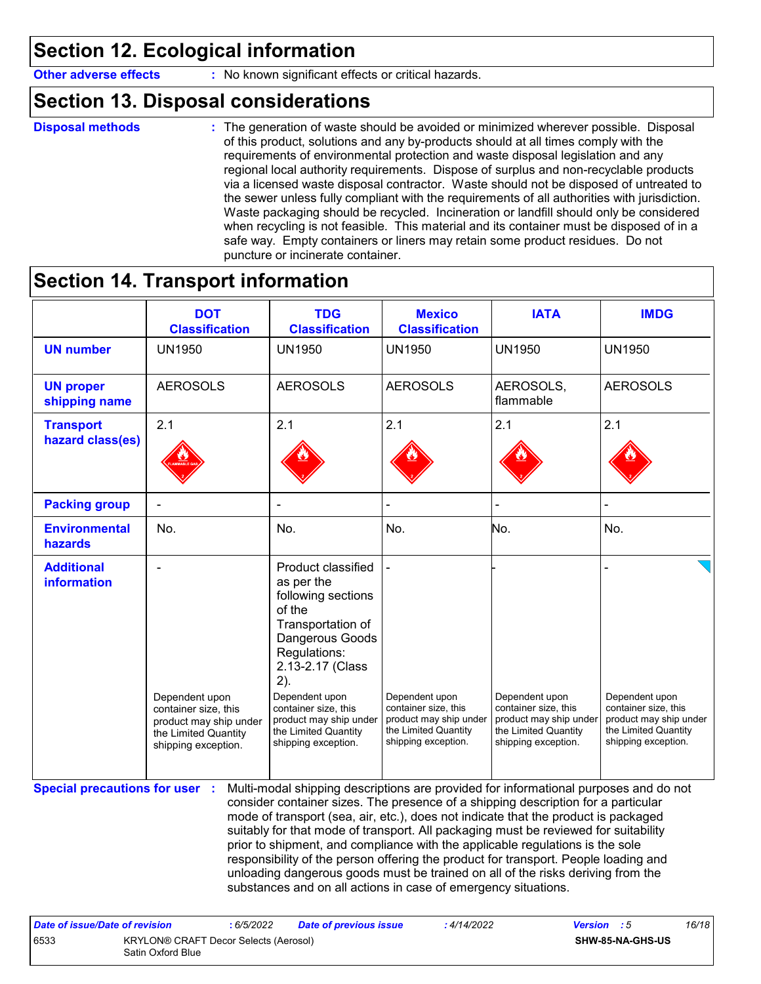**Other adverse effects** : No known significant effects or critical hazards.

## **Section 13. Disposal considerations**

```
Disposal methods :
```
The generation of waste should be avoided or minimized wherever possible. Disposal of this product, solutions and any by-products should at all times comply with the requirements of environmental protection and waste disposal legislation and any regional local authority requirements. Dispose of surplus and non-recyclable products via a licensed waste disposal contractor. Waste should not be disposed of untreated to the sewer unless fully compliant with the requirements of all authorities with jurisdiction. Waste packaging should be recycled. Incineration or landfill should only be considered when recycling is not feasible. This material and its container must be disposed of in a safe way. Empty containers or liners may retain some product residues. Do not puncture or incinerate container.

## **Section 14. Transport information**

6533 KRYLON® CRAFT Decor Selects (Aerosol) Satin Oxford Blue

|                                        | <b>DOT</b><br><b>Classification</b>                                                                             | <b>TDG</b><br><b>Classification</b>                                                                                                                                                                                                                                                                                                                                                                                                                                                                                                                                                                                                                                                 | <b>Mexico</b><br><b>Classification</b>                                                                          | <b>IATA</b>                                                                                                     | <b>IMDG</b>                                                                                                     |
|----------------------------------------|-----------------------------------------------------------------------------------------------------------------|-------------------------------------------------------------------------------------------------------------------------------------------------------------------------------------------------------------------------------------------------------------------------------------------------------------------------------------------------------------------------------------------------------------------------------------------------------------------------------------------------------------------------------------------------------------------------------------------------------------------------------------------------------------------------------------|-----------------------------------------------------------------------------------------------------------------|-----------------------------------------------------------------------------------------------------------------|-----------------------------------------------------------------------------------------------------------------|
| <b>UN number</b>                       | <b>UN1950</b>                                                                                                   | <b>UN1950</b>                                                                                                                                                                                                                                                                                                                                                                                                                                                                                                                                                                                                                                                                       | <b>UN1950</b>                                                                                                   | <b>UN1950</b>                                                                                                   | <b>UN1950</b>                                                                                                   |
| <b>UN proper</b><br>shipping name      | <b>AEROSOLS</b>                                                                                                 | <b>AEROSOLS</b>                                                                                                                                                                                                                                                                                                                                                                                                                                                                                                                                                                                                                                                                     | <b>AEROSOLS</b>                                                                                                 | AEROSOLS,<br>flammable                                                                                          | <b>AEROSOLS</b>                                                                                                 |
| <b>Transport</b>                       | 2.1                                                                                                             | 2.1                                                                                                                                                                                                                                                                                                                                                                                                                                                                                                                                                                                                                                                                                 | 2.1                                                                                                             | 2.1                                                                                                             | 2.1                                                                                                             |
| hazard class(es)                       |                                                                                                                 |                                                                                                                                                                                                                                                                                                                                                                                                                                                                                                                                                                                                                                                                                     |                                                                                                                 |                                                                                                                 |                                                                                                                 |
| <b>Packing group</b>                   |                                                                                                                 |                                                                                                                                                                                                                                                                                                                                                                                                                                                                                                                                                                                                                                                                                     |                                                                                                                 |                                                                                                                 |                                                                                                                 |
| <b>Environmental</b><br><b>hazards</b> | No.                                                                                                             | No.                                                                                                                                                                                                                                                                                                                                                                                                                                                                                                                                                                                                                                                                                 | No.                                                                                                             | No.                                                                                                             | No.                                                                                                             |
| <b>Additional</b><br>information       | Dependent upon<br>container size, this<br>product may ship under<br>the Limited Quantity<br>shipping exception. | Product classified<br>as per the<br>following sections<br>of the<br>Transportation of<br>Dangerous Goods<br>Regulations:<br>2.13-2.17 (Class<br>2).<br>Dependent upon<br>container size, this<br>product may ship under<br>the Limited Quantity<br>shipping exception.                                                                                                                                                                                                                                                                                                                                                                                                              | Dependent upon<br>container size, this<br>product may ship under<br>the Limited Quantity<br>shipping exception. | Dependent upon<br>container size, this<br>product may ship under<br>the Limited Quantity<br>shipping exception. | Dependent upon<br>container size, this<br>product may ship under<br>the Limited Quantity<br>shipping exception. |
| <b>Special precautions for user :</b>  |                                                                                                                 | Multi-modal shipping descriptions are provided for informational purposes and do not<br>consider container sizes. The presence of a shipping description for a particular<br>mode of transport (sea, air, etc.), does not indicate that the product is packaged<br>suitably for that mode of transport. All packaging must be reviewed for suitability<br>prior to shipment, and compliance with the applicable regulations is the sole<br>responsibility of the person offering the product for transport. People loading and<br>unloading dangerous goods must be trained on all of the risks deriving from the<br>substances and on all actions in case of emergency situations. |                                                                                                                 |                                                                                                                 |                                                                                                                 |

**SHW-85-NA-GHS-US**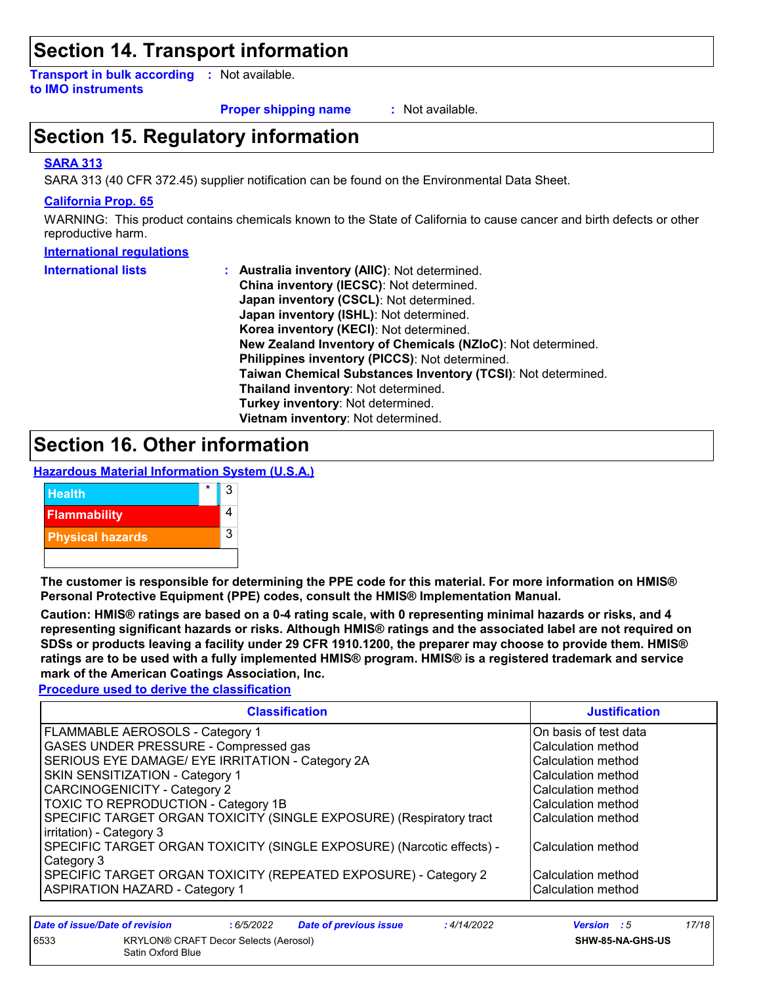## **Section 14. Transport information**

**Transport in bulk according :** Not available. **to IMO instruments**

**Proper shipping name :**

: Not available.

## **Section 15. Regulatory information**

#### **SARA 313**

SARA 313 (40 CFR 372.45) supplier notification can be found on the Environmental Data Sheet.

#### **California Prop. 65**

WARNING: This product contains chemicals known to the State of California to cause cancer and birth defects or other reproductive harm.

#### **International regulations**

| <b>International lists</b> | <b>Australia inventory (AllC): Not determined.</b>           |
|----------------------------|--------------------------------------------------------------|
|                            | China inventory (IECSC): Not determined.                     |
|                            | Japan inventory (CSCL): Not determined.                      |
|                            | Japan inventory (ISHL): Not determined.                      |
|                            | Korea inventory (KECI): Not determined.                      |
|                            | New Zealand Inventory of Chemicals (NZIoC): Not determined.  |
|                            | Philippines inventory (PICCS): Not determined.               |
|                            | Taiwan Chemical Substances Inventory (TCSI): Not determined. |
|                            | Thailand inventory: Not determined.                          |
|                            | Turkey inventory: Not determined.                            |
|                            | Vietnam inventory: Not determined.                           |

### **Section 16. Other information**

**Hazardous Material Information System (U.S.A.)**



**The customer is responsible for determining the PPE code for this material. For more information on HMIS® Personal Protective Equipment (PPE) codes, consult the HMIS® Implementation Manual.**

**Caution: HMIS® ratings are based on a 0-4 rating scale, with 0 representing minimal hazards or risks, and 4 representing significant hazards or risks. Although HMIS® ratings and the associated label are not required on SDSs or products leaving a facility under 29 CFR 1910.1200, the preparer may choose to provide them. HMIS® ratings are to be used with a fully implemented HMIS® program. HMIS® is a registered trademark and service mark of the American Coatings Association, Inc.**

**Procedure used to derive the classification**

| <b>Classification</b>                                                 | <b>Justification</b>  |
|-----------------------------------------------------------------------|-----------------------|
| <b>FLAMMABLE AEROSOLS - Category 1</b>                                | On basis of test data |
| <b>GASES UNDER PRESSURE - Compressed gas</b>                          | Calculation method    |
| SERIOUS EYE DAMAGE/ EYE IRRITATION - Category 2A                      | Calculation method    |
| SKIN SENSITIZATION - Category 1                                       | Calculation method    |
| <b>CARCINOGENICITY - Category 2</b>                                   | Calculation method    |
| TOXIC TO REPRODUCTION - Category 1B                                   | Calculation method    |
| SPECIFIC TARGET ORGAN TOXICITY (SINGLE EXPOSURE) (Respiratory tract   | Calculation method    |
| irritation) - Category 3                                              |                       |
| SPECIFIC TARGET ORGAN TOXICITY (SINGLE EXPOSURE) (Narcotic effects) - | Calculation method    |
| Category 3                                                            |                       |
| SPECIFIC TARGET ORGAN TOXICITY (REPEATED EXPOSURE) - Category 2       | Calculation method    |
| <b>ASPIRATION HAZARD - Category 1</b>                                 | Calculation method    |

| Date of issue/Date of revision |                                                            | :6/5/2022 | <b>Date of previous issue</b> | : 4/14/2022 | <b>Version</b> : 5      | 17/18 |
|--------------------------------|------------------------------------------------------------|-----------|-------------------------------|-------------|-------------------------|-------|
| 6533                           | KRYLON® CRAFT Decor Selects (Aerosol)<br>Satin Oxford Blue |           |                               |             | <b>SHW-85-NA-GHS-US</b> |       |